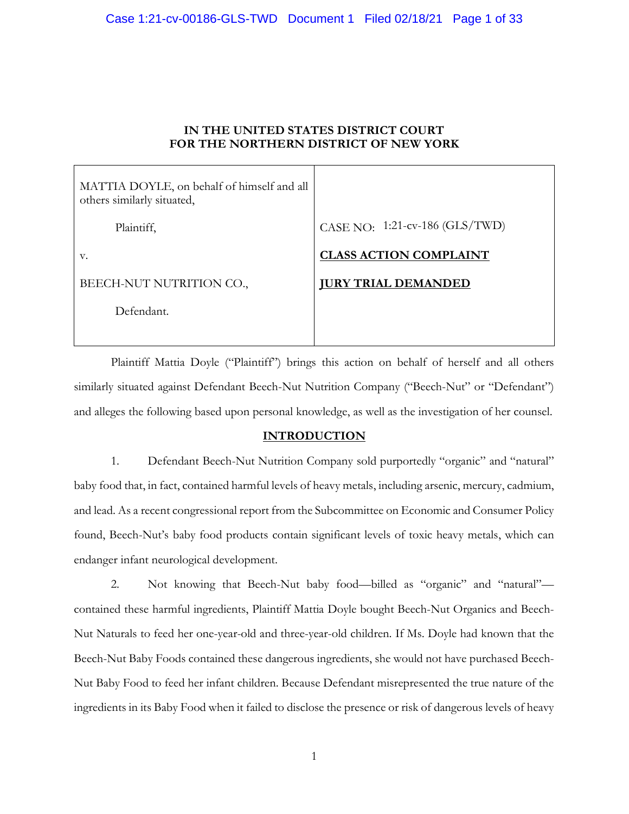# IN THE UNITED STATES DISTRICT COURT FOR THE NORTHERN DISTRICT OF NEW YORK

| MATTIA DOYLE, on behalf of himself and all<br>others similarly situated, |                                |
|--------------------------------------------------------------------------|--------------------------------|
| Plaintiff,                                                               | CASE NO: 1:21-cv-186 (GLS/TWD) |
| V.                                                                       | <b>CLASS ACTION COMPLAINT</b>  |
| BEECH-NUT NUTRITION CO.,                                                 | <b>JURY TRIAL DEMANDED</b>     |
| Defendant.                                                               |                                |

Plaintiff Mattia Doyle ("Plaintiff") brings this action on behalf of herself and all others similarly situated against Defendant Beech-Nut Nutrition Company ("Beech-Nut" or "Defendant") and alleges the following based upon personal knowledge, as well as the investigation of her counsel.

# INTRODUCTION

1. Defendant Beech-Nut Nutrition Company sold purportedly "organic" and "natural" baby food that, in fact, contained harmful levels of heavy metals, including arsenic, mercury, cadmium, and lead. As a recent congressional report from the Subcommittee on Economic and Consumer Policy found, Beech-Nut's baby food products contain significant levels of toxic heavy metals, which can endanger infant neurological development.

2. Not knowing that Beech-Nut baby food—billed as "organic" and "natural" contained these harmful ingredients, Plaintiff Mattia Doyle bought Beech-Nut Organics and Beech-Nut Naturals to feed her one-year-old and three-year-old children. If Ms. Doyle had known that the Beech-Nut Baby Foods contained these dangerous ingredients, she would not have purchased Beech-Nut Baby Food to feed her infant children. Because Defendant misrepresented the true nature of the ingredients in its Baby Food when it failed to disclose the presence or risk of dangerous levels of heavy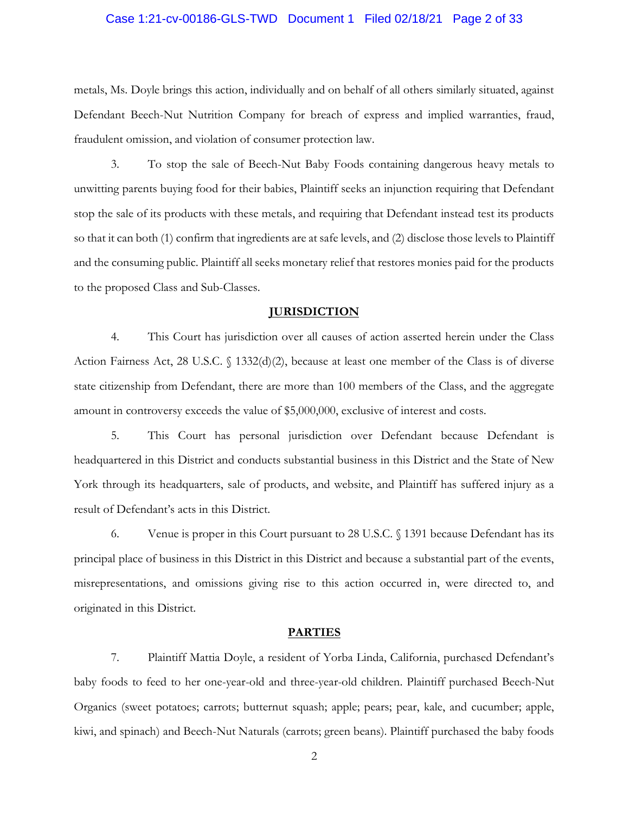#### Case 1:21-cv-00186-GLS-TWD Document 1 Filed 02/18/21 Page 2 of 33

metals, Ms. Doyle brings this action, individually and on behalf of all others similarly situated, against Defendant Beech-Nut Nutrition Company for breach of express and implied warranties, fraud, fraudulent omission, and violation of consumer protection law.

3. To stop the sale of Beech-Nut Baby Foods containing dangerous heavy metals to unwitting parents buying food for their babies, Plaintiff seeks an injunction requiring that Defendant stop the sale of its products with these metals, and requiring that Defendant instead test its products so that it can both (1) confirm that ingredients are at safe levels, and (2) disclose those levels to Plaintiff and the consuming public. Plaintiff all seeks monetary relief that restores monies paid for the products to the proposed Class and Sub-Classes.

#### **JURISDICTION**

4. This Court has jurisdiction over all causes of action asserted herein under the Class Action Fairness Act, 28 U.S.C. § 1332(d)(2), because at least one member of the Class is of diverse state citizenship from Defendant, there are more than 100 members of the Class, and the aggregate amount in controversy exceeds the value of \$5,000,000, exclusive of interest and costs.

5. This Court has personal jurisdiction over Defendant because Defendant is headquartered in this District and conducts substantial business in this District and the State of New York through its headquarters, sale of products, and website, and Plaintiff has suffered injury as a result of Defendant's acts in this District.

6. Venue is proper in this Court pursuant to 28 U.S.C. § 1391 because Defendant has its principal place of business in this District in this District and because a substantial part of the events, misrepresentations, and omissions giving rise to this action occurred in, were directed to, and originated in this District.

#### **PARTIES**

7. Plaintiff Mattia Doyle, a resident of Yorba Linda, California, purchased Defendant's baby foods to feed to her one-year-old and three-year-old children. Plaintiff purchased Beech-Nut Organics (sweet potatoes; carrots; butternut squash; apple; pears; pear, kale, and cucumber; apple, kiwi, and spinach) and Beech-Nut Naturals (carrots; green beans). Plaintiff purchased the baby foods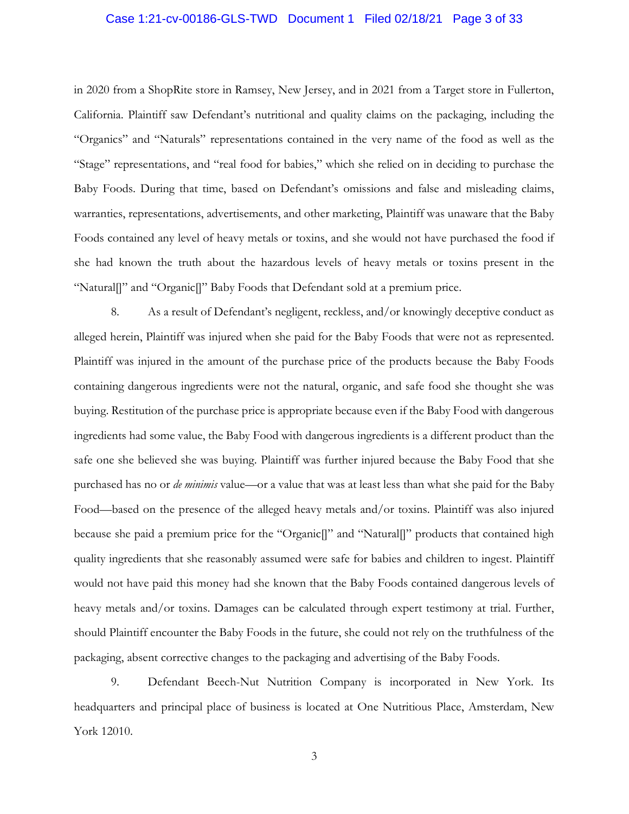#### Case 1:21-cv-00186-GLS-TWD Document 1 Filed 02/18/21 Page 3 of 33

in 2020 from a ShopRite store in Ramsey, New Jersey, and in 2021 from a Target store in Fullerton, California. Plaintiff saw Defendant's nutritional and quality claims on the packaging, including the "Organics" and "Naturals" representations contained in the very name of the food as well as the "Stage" representations, and "real food for babies," which she relied on in deciding to purchase the Baby Foods. During that time, based on Defendant's omissions and false and misleading claims, warranties, representations, advertisements, and other marketing, Plaintiff was unaware that the Baby Foods contained any level of heavy metals or toxins, and she would not have purchased the food if she had known the truth about the hazardous levels of heavy metals or toxins present in the "Natural[]" and "Organic[]" Baby Foods that Defendant sold at a premium price.

8. As a result of Defendant's negligent, reckless, and/or knowingly deceptive conduct as alleged herein, Plaintiff was injured when she paid for the Baby Foods that were not as represented. Plaintiff was injured in the amount of the purchase price of the products because the Baby Foods containing dangerous ingredients were not the natural, organic, and safe food she thought she was buying. Restitution of the purchase price is appropriate because even if the Baby Food with dangerous ingredients had some value, the Baby Food with dangerous ingredients is a different product than the safe one she believed she was buying. Plaintiff was further injured because the Baby Food that she purchased has no or *de minimis* value—or a value that was at least less than what she paid for the Baby Food—based on the presence of the alleged heavy metals and/or toxins. Plaintiff was also injured because she paid a premium price for the "Organic[]" and "Natural[]" products that contained high quality ingredients that she reasonably assumed were safe for babies and children to ingest. Plaintiff would not have paid this money had she known that the Baby Foods contained dangerous levels of heavy metals and/or toxins. Damages can be calculated through expert testimony at trial. Further, should Plaintiff encounter the Baby Foods in the future, she could not rely on the truthfulness of the packaging, absent corrective changes to the packaging and advertising of the Baby Foods.

9. Defendant Beech-Nut Nutrition Company is incorporated in New York. Its headquarters and principal place of business is located at One Nutritious Place, Amsterdam, New York 12010.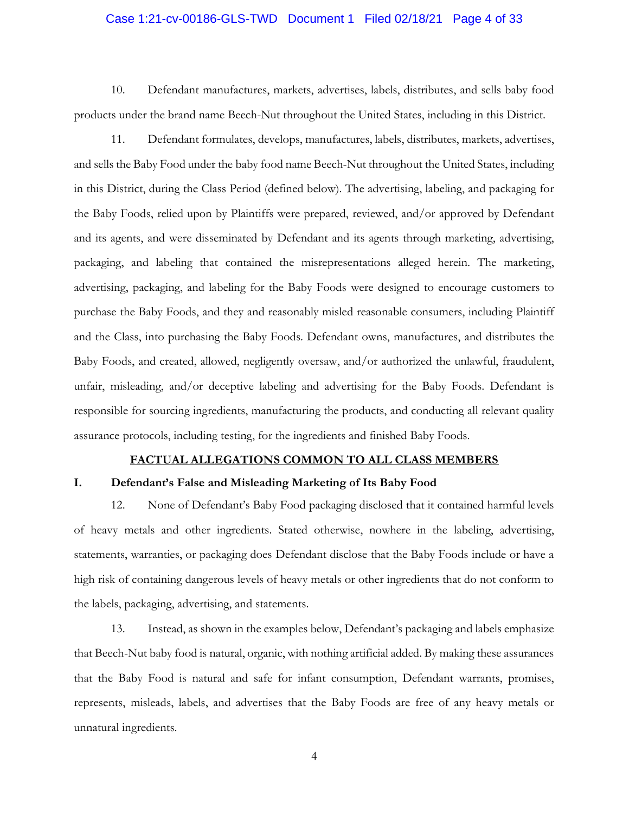#### Case 1:21-cv-00186-GLS-TWD Document 1 Filed 02/18/21 Page 4 of 33

10. Defendant manufactures, markets, advertises, labels, distributes, and sells baby food products under the brand name Beech-Nut throughout the United States, including in this District.

11. Defendant formulates, develops, manufactures, labels, distributes, markets, advertises, and sells the Baby Food under the baby food name Beech-Nut throughout the United States, including in this District, during the Class Period (defined below). The advertising, labeling, and packaging for the Baby Foods, relied upon by Plaintiffs were prepared, reviewed, and/or approved by Defendant and its agents, and were disseminated by Defendant and its agents through marketing, advertising, packaging, and labeling that contained the misrepresentations alleged herein. The marketing, advertising, packaging, and labeling for the Baby Foods were designed to encourage customers to purchase the Baby Foods, and they and reasonably misled reasonable consumers, including Plaintiff and the Class, into purchasing the Baby Foods. Defendant owns, manufactures, and distributes the Baby Foods, and created, allowed, negligently oversaw, and/or authorized the unlawful, fraudulent, unfair, misleading, and/or deceptive labeling and advertising for the Baby Foods. Defendant is responsible for sourcing ingredients, manufacturing the products, and conducting all relevant quality assurance protocols, including testing, for the ingredients and finished Baby Foods.

#### FACTUAL ALLEGATIONS COMMON TO ALL CLASS MEMBERS

#### I. Defendant's False and Misleading Marketing of Its Baby Food

12. None of Defendant's Baby Food packaging disclosed that it contained harmful levels of heavy metals and other ingredients. Stated otherwise, nowhere in the labeling, advertising, statements, warranties, or packaging does Defendant disclose that the Baby Foods include or have a high risk of containing dangerous levels of heavy metals or other ingredients that do not conform to the labels, packaging, advertising, and statements.

13. Instead, as shown in the examples below, Defendant's packaging and labels emphasize that Beech-Nut baby food is natural, organic, with nothing artificial added. By making these assurances that the Baby Food is natural and safe for infant consumption, Defendant warrants, promises, represents, misleads, labels, and advertises that the Baby Foods are free of any heavy metals or unnatural ingredients.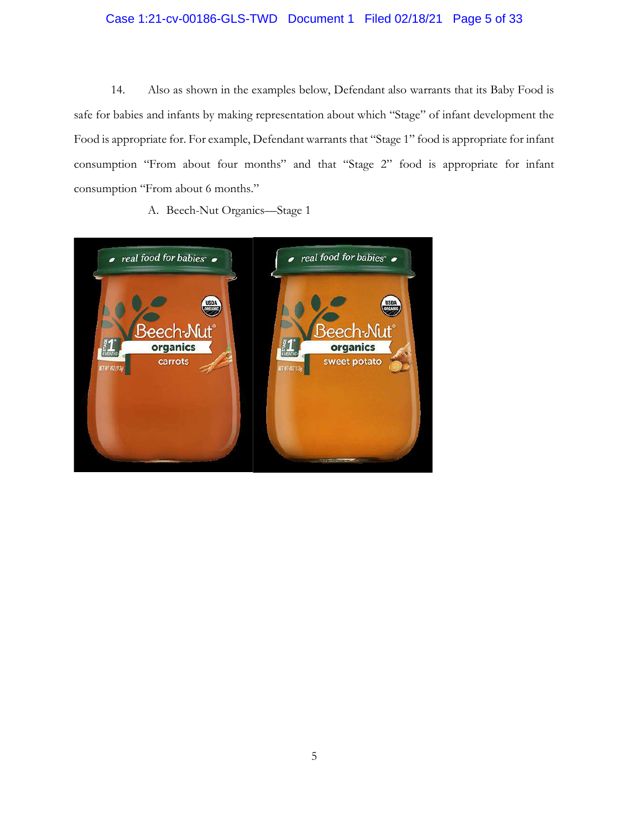# Case 1:21-cv-00186-GLS-TWD Document 1 Filed 02/18/21 Page 5 of 33

14. Also as shown in the examples below, Defendant also warrants that its Baby Food is safe for babies and infants by making representation about which "Stage" of infant development the Food is appropriate for. For example, Defendant warrants that "Stage 1" food is appropriate for infant consumption "From about four months" and that "Stage 2" food is appropriate for infant consumption "From about 6 months."

A. Beech-Nut Organics—Stage 1

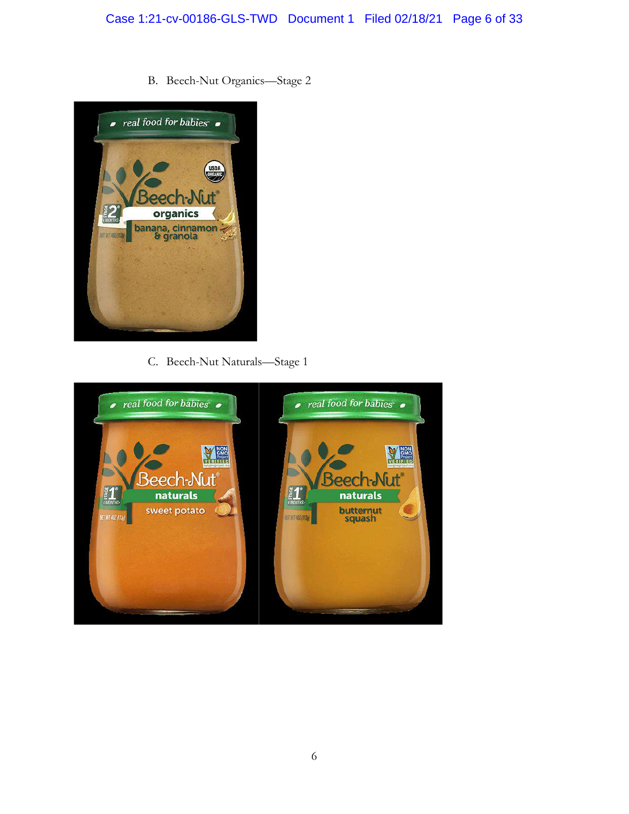# Case 1:21-cv-00186-GLS-TWD Document 1 Filed 02/18/21 Page 6 of 33

B. Beech-Nut Organics—Stage 2



C. Beech-Nut Naturals—Stage 1

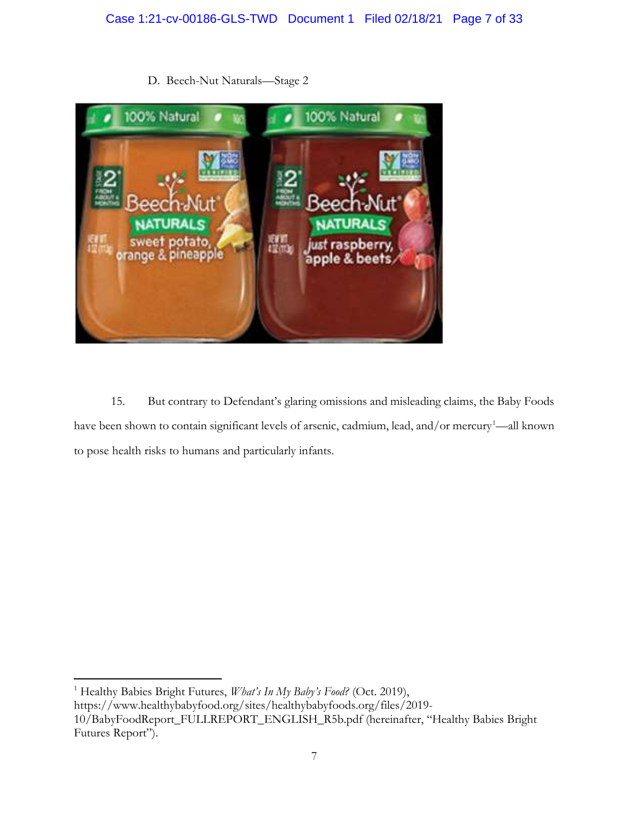

D. Beech-Nut Naturals—Stage 2

15. But contrary to Defendant's glaring omissions and misleading claims, the Baby Foods have been shown to contain significant levels of arsenic, cadmium, lead, and/or mercury<sup>1</sup>—all known to pose health risks to humans and particularly infants.

<sup>1</sup> Healthy Babies Bright Futures, *What's In My Baby's Food?* (Oct. 2019), https://www.healthybabyfood.org/sites/healthybabyfoods.org/files/2019- 10/BabyFoodReport\_FULLREPORT\_ENGLISH\_R5b.pdf (hereinafter, "Healthy Babies Bright Futures Report").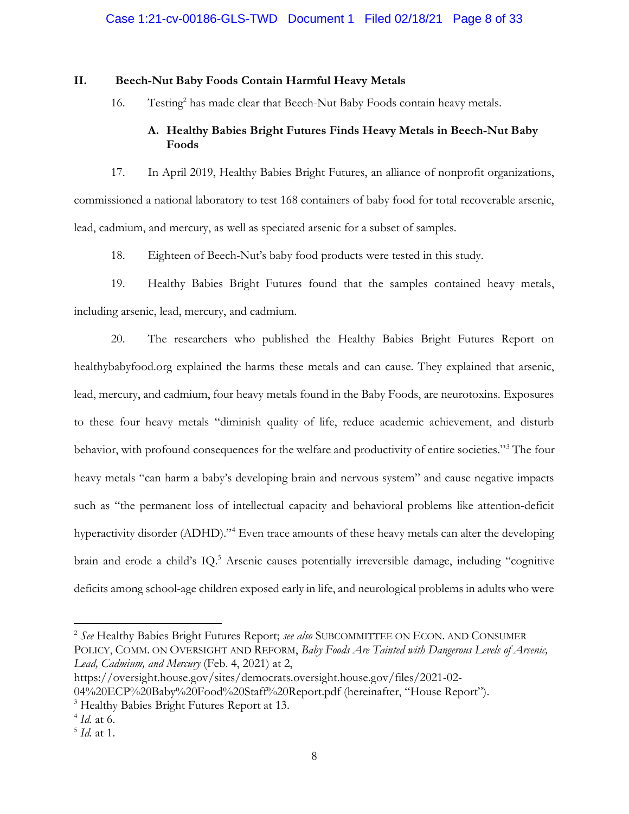### II. Beech-Nut Baby Foods Contain Harmful Heavy Metals

16. Testing<sup>2</sup> has made clear that Beech-Nut Baby Foods contain heavy metals.

# A. Healthy Babies Bright Futures Finds Heavy Metals in Beech-Nut Baby Foods

17. In April 2019, Healthy Babies Bright Futures, an alliance of nonprofit organizations, commissioned a national laboratory to test 168 containers of baby food for total recoverable arsenic, lead, cadmium, and mercury, as well as speciated arsenic for a subset of samples.

18. Eighteen of Beech-Nut's baby food products were tested in this study.

19. Healthy Babies Bright Futures found that the samples contained heavy metals, including arsenic, lead, mercury, and cadmium.

20. The researchers who published the Healthy Babies Bright Futures Report on healthybabyfood.org explained the harms these metals and can cause. They explained that arsenic, lead, mercury, and cadmium, four heavy metals found in the Baby Foods, are neurotoxins. Exposures to these four heavy metals "diminish quality of life, reduce academic achievement, and disturb behavior, with profound consequences for the welfare and productivity of entire societies."<sup>3</sup> The four heavy metals "can harm a baby's developing brain and nervous system" and cause negative impacts such as "the permanent loss of intellectual capacity and behavioral problems like attention-deficit hyperactivity disorder (ADHD)."<sup>4</sup> Even trace amounts of these heavy metals can alter the developing brain and erode a child's IQ.<sup>5</sup> Arsenic causes potentially irreversible damage, including "cognitive deficits among school-age children exposed early in life, and neurological problems in adults who were

<sup>&</sup>lt;sup>2</sup> See Healthy Babies Bright Futures Report; see also SUBCOMMITTEE ON ECON. AND CONSUMER POLICY, COMM. ON OVERSIGHT AND REFORM, Baby Foods Are Tainted with Dangerous Levels of Arsenic, Lead, Cadmium, and Mercury (Feb. 4, 2021) at 2,

https://oversight.house.gov/sites/democrats.oversight.house.gov/files/2021-02- 04%20ECP%20Baby%20Food%20Staff%20Report.pdf (hereinafter, "House Report").

<sup>&</sup>lt;sup>3</sup> Healthy Babies Bright Futures Report at 13.

<sup>&</sup>lt;sup>4</sup> *Id.* at 6.

 $<sup>5</sup>$  *Id.* at 1.</sup>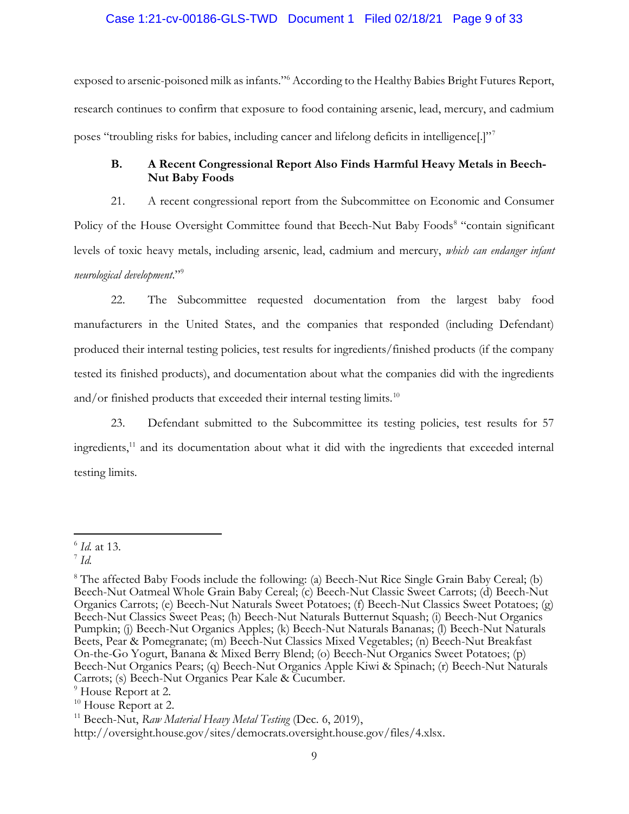#### Case 1:21-cv-00186-GLS-TWD Document 1 Filed 02/18/21 Page 9 of 33

exposed to arsenic-poisoned milk as infants." According to the Healthy Babies Bright Futures Report, research continues to confirm that exposure to food containing arsenic, lead, mercury, and cadmium poses "troubling risks for babies, including cancer and lifelong deficits in intelligence[.]"<sup>7</sup>

# B. A Recent Congressional Report Also Finds Harmful Heavy Metals in Beech-Nut Baby Foods

21. A recent congressional report from the Subcommittee on Economic and Consumer Policy of the House Oversight Committee found that Beech-Nut Baby Foods<sup>8</sup> "contain significant levels of toxic heavy metals, including arsenic, lead, cadmium and mercury, which can endanger infant neurological development."<sup>9</sup>

22. The Subcommittee requested documentation from the largest baby food manufacturers in the United States, and the companies that responded (including Defendant) produced their internal testing policies, test results for ingredients/finished products (if the company tested its finished products), and documentation about what the companies did with the ingredients and/or finished products that exceeded their internal testing limits.<sup>10</sup>

23. Defendant submitted to the Subcommittee its testing policies, test results for 57 ingredients,<sup>11</sup> and its documentation about what it did with the ingredients that exceeded internal testing limits.

<sup>&</sup>lt;sup>6</sup> *Id.* at 13.

 $\bar{d}$  Id.

<sup>&</sup>lt;sup>8</sup> The affected Baby Foods include the following: (a) Beech-Nut Rice Single Grain Baby Cereal; (b) Beech-Nut Oatmeal Whole Grain Baby Cereal; (c) Beech-Nut Classic Sweet Carrots; (d) Beech-Nut Organics Carrots; (e) Beech-Nut Naturals Sweet Potatoes; (f) Beech-Nut Classics Sweet Potatoes; (g) Beech-Nut Classics Sweet Peas; (h) Beech-Nut Naturals Butternut Squash; (i) Beech-Nut Organics Pumpkin; (j) Beech-Nut Organics Apples; (k) Beech-Nut Naturals Bananas; (l) Beech-Nut Naturals Beets, Pear & Pomegranate; (m) Beech-Nut Classics Mixed Vegetables; (n) Beech-Nut Breakfast On-the-Go Yogurt, Banana & Mixed Berry Blend; (o) Beech-Nut Organics Sweet Potatoes; (p) Beech-Nut Organics Pears; (q) Beech-Nut Organics Apple Kiwi & Spinach; (r) Beech-Nut Naturals Carrots; (s) Beech-Nut Organics Pear Kale & Cucumber.

<sup>9</sup> House Report at 2.

<sup>&</sup>lt;sup>10</sup> House Report at 2.

<sup>&</sup>lt;sup>11</sup> Beech-Nut, Raw Material Heavy Metal Testing (Dec. 6, 2019),

http://oversight.house.gov/sites/democrats.oversight.house.gov/files/4.xlsx.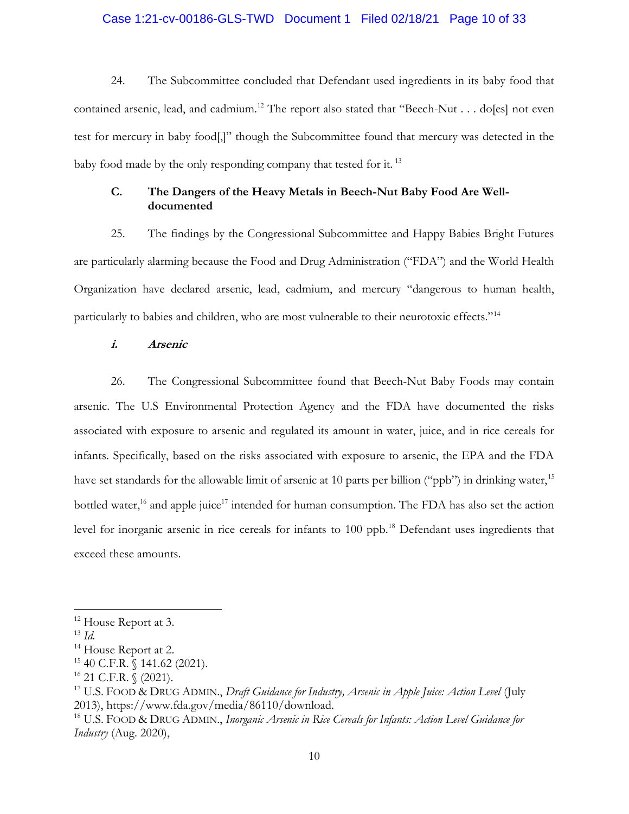### Case 1:21-cv-00186-GLS-TWD Document 1 Filed 02/18/21 Page 10 of 33

24. The Subcommittee concluded that Defendant used ingredients in its baby food that contained arsenic, lead, and cadmium.<sup>12</sup> The report also stated that "Beech-Nut . . . do[es] not even test for mercury in baby food[,]" though the Subcommittee found that mercury was detected in the baby food made by the only responding company that tested for it.<sup>13</sup>

## C. The Dangers of the Heavy Metals in Beech-Nut Baby Food Are Welldocumented

25. The findings by the Congressional Subcommittee and Happy Babies Bright Futures are particularly alarming because the Food and Drug Administration ("FDA") and the World Health Organization have declared arsenic, lead, cadmium, and mercury "dangerous to human health, particularly to babies and children, who are most vulnerable to their neurotoxic effects."<sup>14</sup>

### i. Arsenic

26. The Congressional Subcommittee found that Beech-Nut Baby Foods may contain arsenic. The U.S Environmental Protection Agency and the FDA have documented the risks associated with exposure to arsenic and regulated its amount in water, juice, and in rice cereals for infants. Specifically, based on the risks associated with exposure to arsenic, the EPA and the FDA have set standards for the allowable limit of arsenic at 10 parts per billion ("ppb") in drinking water,<sup>15</sup> bottled water,<sup>16</sup> and apple juice<sup>17</sup> intended for human consumption. The FDA has also set the action level for inorganic arsenic in rice cereals for infants to 100 ppb.<sup>18</sup> Defendant uses ingredients that exceed these amounts.

<sup>&</sup>lt;sup>12</sup> House Report at 3.

 $^{13}$  Id.

<sup>&</sup>lt;sup>14</sup> House Report at 2.

<sup>15</sup> 40 C.F.R. § 141.62 (2021).

 $16$  21 C.F.R. § (2021).

<sup>&</sup>lt;sup>17</sup> U.S. FOOD & DRUG ADMIN., Draft Guidance for Industry, Arsenic in Apple Juice: Action Level (July 2013), https://www.fda.gov/media/86110/download.

<sup>&</sup>lt;sup>18</sup> U.S. FOOD & DRUG ADMIN., *Inorganic Arsenic in Rice Cereals for Infants: Action Level Guidance for* Industry (Aug. 2020),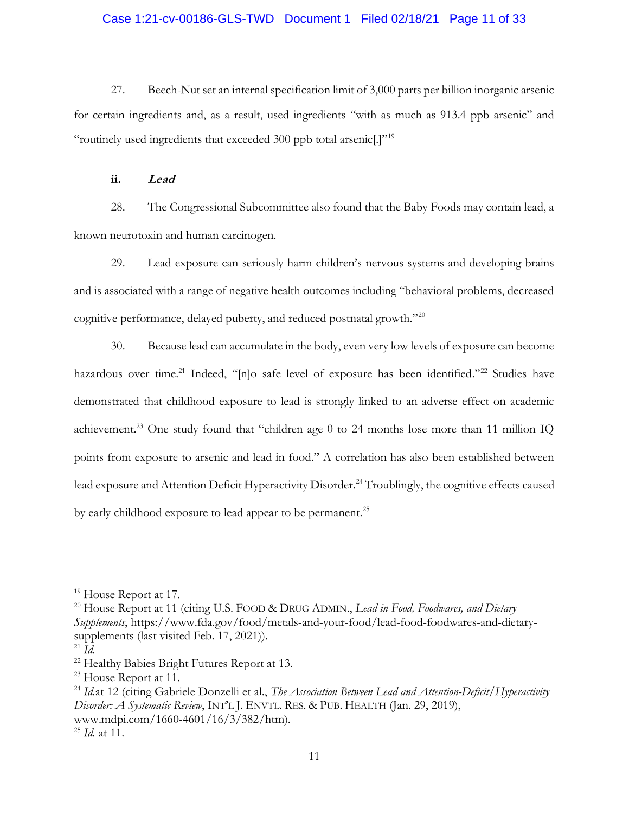### Case 1:21-cv-00186-GLS-TWD Document 1 Filed 02/18/21 Page 11 of 33

27. Beech-Nut set an internal specification limit of 3,000 parts per billion inorganic arsenic for certain ingredients and, as a result, used ingredients "with as much as 913.4 ppb arsenic" and "routinely used ingredients that exceeded 300 ppb total arsenic[.]"<sup>19</sup>

ii. Lead

28. The Congressional Subcommittee also found that the Baby Foods may contain lead, a known neurotoxin and human carcinogen.

29. Lead exposure can seriously harm children's nervous systems and developing brains and is associated with a range of negative health outcomes including "behavioral problems, decreased cognitive performance, delayed puberty, and reduced postnatal growth."<sup>20</sup>

30. Because lead can accumulate in the body, even very low levels of exposure can become hazardous over time.<sup>21</sup> Indeed, "[n]o safe level of exposure has been identified."<sup>22</sup> Studies have demonstrated that childhood exposure to lead is strongly linked to an adverse effect on academic achievement.<sup>23</sup> One study found that "children age 0 to 24 months lose more than 11 million IQ points from exposure to arsenic and lead in food." A correlation has also been established between lead exposure and Attention Deficit Hyperactivity Disorder.<sup>24</sup> Troublingly, the cognitive effects caused by early childhood exposure to lead appear to be permanent.<sup>25</sup>

<sup>&</sup>lt;sup>19</sup> House Report at 17.

<sup>&</sup>lt;sup>20</sup> House Report at 11 (citing U.S. FOOD & DRUG ADMIN., Lead in Food, Foodwares, and Dietary Supplements, https://www.fda.gov/food/metals-and-your-food/lead-food-foodwares-and-dietarysupplements (last visited Feb. 17, 2021)).

 $^{21}$  *Id.* 

<sup>22</sup> Healthy Babies Bright Futures Report at 13.

<sup>&</sup>lt;sup>23</sup> House Report at 11.

<sup>&</sup>lt;sup>24</sup> Id.at 12 (citing Gabriele Donzelli et al., *The Association Between Lead and Attention-Deficit*/Hyperactivity Disorder: A Systematic Review, INT'L J. ENVTL. RES. & PUB. HEALTH (Jan. 29, 2019), www.mdpi.com/1660-4601/16/3/382/htm).

 $25$  *Id.* at 11.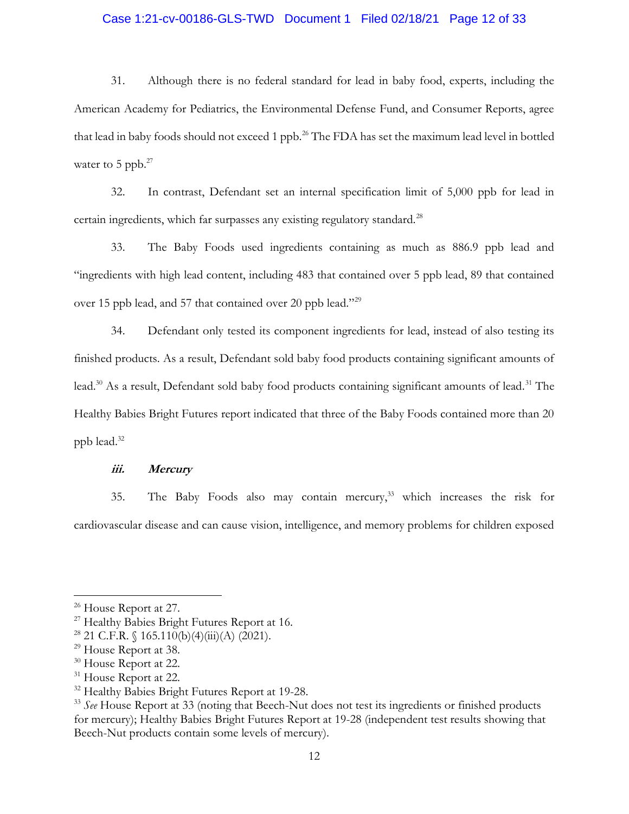### Case 1:21-cv-00186-GLS-TWD Document 1 Filed 02/18/21 Page 12 of 33

31. Although there is no federal standard for lead in baby food, experts, including the American Academy for Pediatrics, the Environmental Defense Fund, and Consumer Reports, agree that lead in baby foods should not exceed 1 ppb.<sup>26</sup> The FDA has set the maximum lead level in bottled water to 5 ppb. $27$ 

32. In contrast, Defendant set an internal specification limit of 5,000 ppb for lead in certain ingredients, which far surpasses any existing regulatory standard. $^{28}$ 

33. The Baby Foods used ingredients containing as much as 886.9 ppb lead and "ingredients with high lead content, including 483 that contained over 5 ppb lead, 89 that contained over 15 ppb lead, and 57 that contained over 20 ppb lead."<sup>29</sup>

34. Defendant only tested its component ingredients for lead, instead of also testing its finished products. As a result, Defendant sold baby food products containing significant amounts of lead.<sup>30</sup> As a result, Defendant sold baby food products containing significant amounts of lead.<sup>31</sup> The Healthy Babies Bright Futures report indicated that three of the Baby Foods contained more than 20 ppb lead.<sup>32</sup>

#### iii. Mercury

35. The Baby Foods also may contain mercury,<sup>33</sup> which increases the risk for cardiovascular disease and can cause vision, intelligence, and memory problems for children exposed

<sup>31</sup> House Report at 22.

<sup>&</sup>lt;sup>26</sup> House Report at 27.

<sup>&</sup>lt;sup>27</sup> Healthy Babies Bright Futures Report at 16.

<sup>&</sup>lt;sup>28</sup> 21 C.F.R.  $\sqrt{165.110(b)(4)(iii)(A)(2021)}$ .

<sup>&</sup>lt;sup>29</sup> House Report at 38.

<sup>&</sup>lt;sup>30</sup> House Report at 22.

<sup>&</sup>lt;sup>32</sup> Healthy Babies Bright Futures Report at 19-28.

 $33$  See House Report at 33 (noting that Beech-Nut does not test its ingredients or finished products for mercury); Healthy Babies Bright Futures Report at 19-28 (independent test results showing that Beech-Nut products contain some levels of mercury).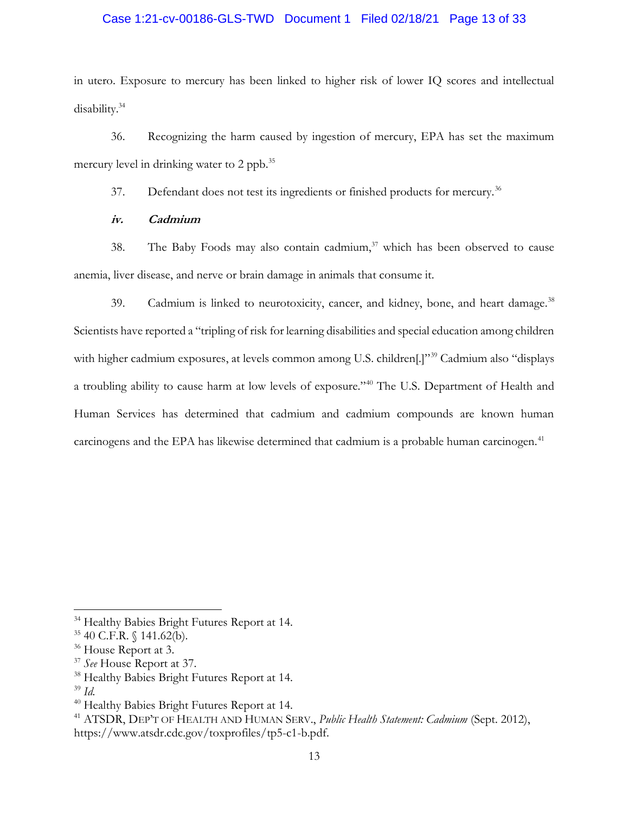# Case 1:21-cv-00186-GLS-TWD Document 1 Filed 02/18/21 Page 13 of 33

in utero. Exposure to mercury has been linked to higher risk of lower IQ scores and intellectual disability.<sup>34</sup>

36. Recognizing the harm caused by ingestion of mercury, EPA has set the maximum mercury level in drinking water to 2 ppb.<sup>35</sup>

37. Defendant does not test its ingredients or finished products for mercury.<sup>36</sup>

## iv. Cadmium

38. The Baby Foods may also contain cadmium, $37$  which has been observed to cause anemia, liver disease, and nerve or brain damage in animals that consume it.

39. Cadmium is linked to neurotoxicity, cancer, and kidney, bone, and heart damage.<sup>38</sup> Scientists have reported a "tripling of risk for learning disabilities and special education among children with higher cadmium exposures, at levels common among U.S. children<sup>[1]"39</sup> Cadmium also "displays" a troubling ability to cause harm at low levels of exposure."<sup>40</sup> The U.S. Department of Health and Human Services has determined that cadmium and cadmium compounds are known human carcinogens and the EPA has likewise determined that cadmium is a probable human carcinogen.<sup>41</sup>

<sup>&</sup>lt;sup>34</sup> Healthy Babies Bright Futures Report at 14.

<sup>35</sup> 40 C.F.R. § 141.62(b).

<sup>&</sup>lt;sup>36</sup> House Report at 3.

<sup>&</sup>lt;sup>37</sup> See House Report at 37.

<sup>38</sup> Healthy Babies Bright Futures Report at 14.

 $39$  Id.

<sup>40</sup> Healthy Babies Bright Futures Report at 14.

<sup>&</sup>lt;sup>41</sup> ATSDR, DEP'T OF HEALTH AND HUMAN SERV., *Public Health Statement: Cadmium (Sept. 2012)*, https://www.atsdr.cdc.gov/toxprofiles/tp5-c1-b.pdf.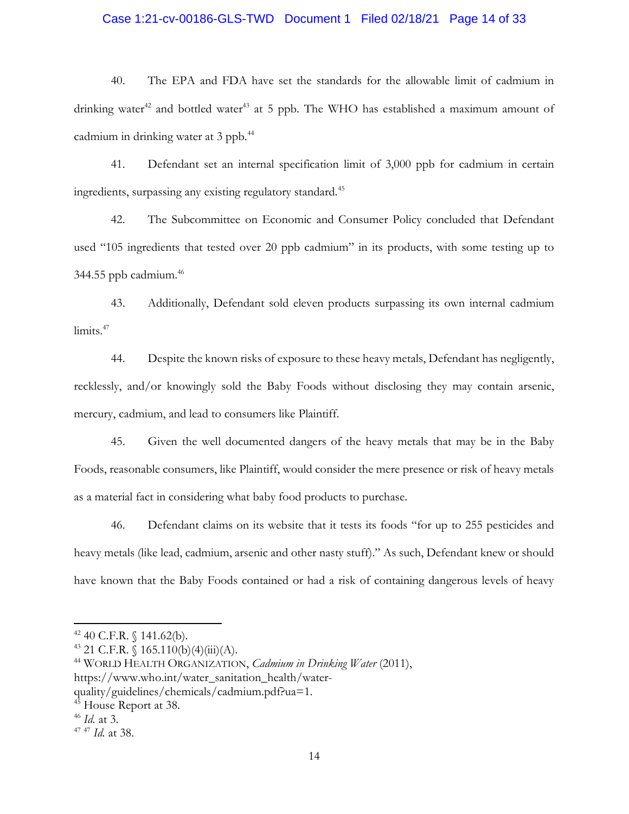### Case 1:21-cv-00186-GLS-TWD Document 1 Filed 02/18/21 Page 14 of 33

40. The EPA and FDA have set the standards for the allowable limit of cadmium in drinking water<sup>42</sup> and bottled water<sup>43</sup> at 5 ppb. The WHO has established a maximum amount of cadmium in drinking water at 3 ppb.<sup>44</sup>

41. Defendant set an internal specification limit of 3,000 ppb for cadmium in certain ingredients, surpassing any existing regulatory standard.<sup>45</sup>

42. The Subcommittee on Economic and Consumer Policy concluded that Defendant used "105 ingredients that tested over 20 ppb cadmium" in its products, with some testing up to 344.55 ppb cadmium.<sup>46</sup>

43. Additionally, Defendant sold eleven products surpassing its own internal cadmium limits.<sup>47</sup>

44. Despite the known risks of exposure to these heavy metals, Defendant has negligently, recklessly, and/or knowingly sold the Baby Foods without disclosing they may contain arsenic, mercury, cadmium, and lead to consumers like Plaintiff.

45. Given the well documented dangers of the heavy metals that may be in the Baby Foods, reasonable consumers, like Plaintiff, would consider the mere presence or risk of heavy metals as a material fact in considering what baby food products to purchase.

46. Defendant claims on its website that it tests its foods "for up to 255 pesticides and heavy metals (like lead, cadmium, arsenic and other nasty stuff)." As such, Defendant knew or should have known that the Baby Foods contained or had a risk of containing dangerous levels of heavy

 $42$  40 C.F.R. § 141.62(b).

 $43$  21 C.F.R. § 165.110(b)(4)(iii)(A).

 $44$  WORLD HEALTH ORGANIZATION, *Cadmium in Drinking Water* (2011), https://www.who.int/water\_sanitation\_health/waterquality/guidelines/chemicals/cadmium.pdf?ua=1.

<sup>&</sup>lt;sup>45</sup> House Report at 38.

 $46$  *Id.* at 3.

<sup>&</sup>lt;sup>47 47</sup> Id. at 38.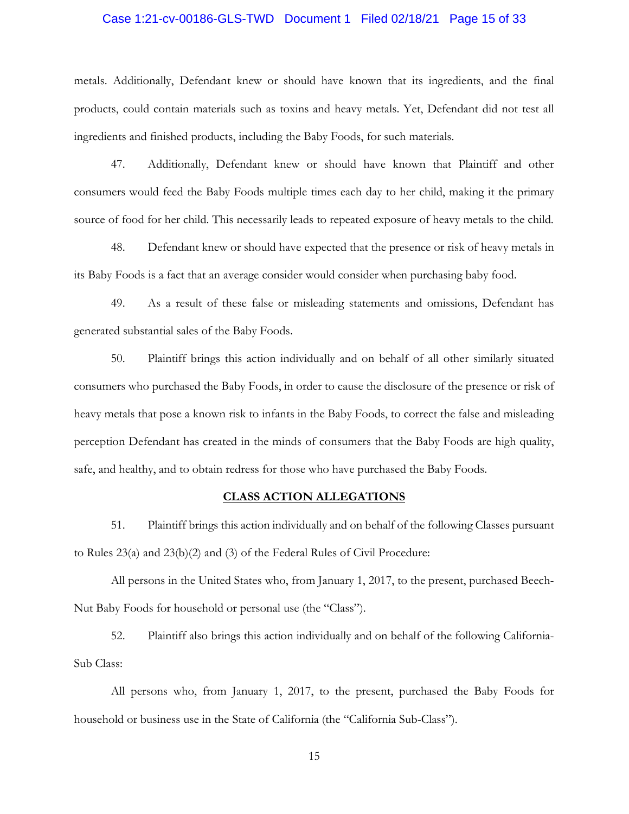# Case 1:21-cv-00186-GLS-TWD Document 1 Filed 02/18/21 Page 15 of 33

metals. Additionally, Defendant knew or should have known that its ingredients, and the final products, could contain materials such as toxins and heavy metals. Yet, Defendant did not test all ingredients and finished products, including the Baby Foods, for such materials.

47. Additionally, Defendant knew or should have known that Plaintiff and other consumers would feed the Baby Foods multiple times each day to her child, making it the primary source of food for her child. This necessarily leads to repeated exposure of heavy metals to the child.

48. Defendant knew or should have expected that the presence or risk of heavy metals in its Baby Foods is a fact that an average consider would consider when purchasing baby food.

49. As a result of these false or misleading statements and omissions, Defendant has generated substantial sales of the Baby Foods.

50. Plaintiff brings this action individually and on behalf of all other similarly situated consumers who purchased the Baby Foods, in order to cause the disclosure of the presence or risk of heavy metals that pose a known risk to infants in the Baby Foods, to correct the false and misleading perception Defendant has created in the minds of consumers that the Baby Foods are high quality, safe, and healthy, and to obtain redress for those who have purchased the Baby Foods.

#### CLASS ACTION ALLEGATIONS

51. Plaintiff brings this action individually and on behalf of the following Classes pursuant to Rules 23(a) and 23(b)(2) and (3) of the Federal Rules of Civil Procedure:

All persons in the United States who, from January 1, 2017, to the present, purchased Beech-Nut Baby Foods for household or personal use (the "Class").

52. Plaintiff also brings this action individually and on behalf of the following California-Sub Class:

All persons who, from January 1, 2017, to the present, purchased the Baby Foods for household or business use in the State of California (the "California Sub-Class").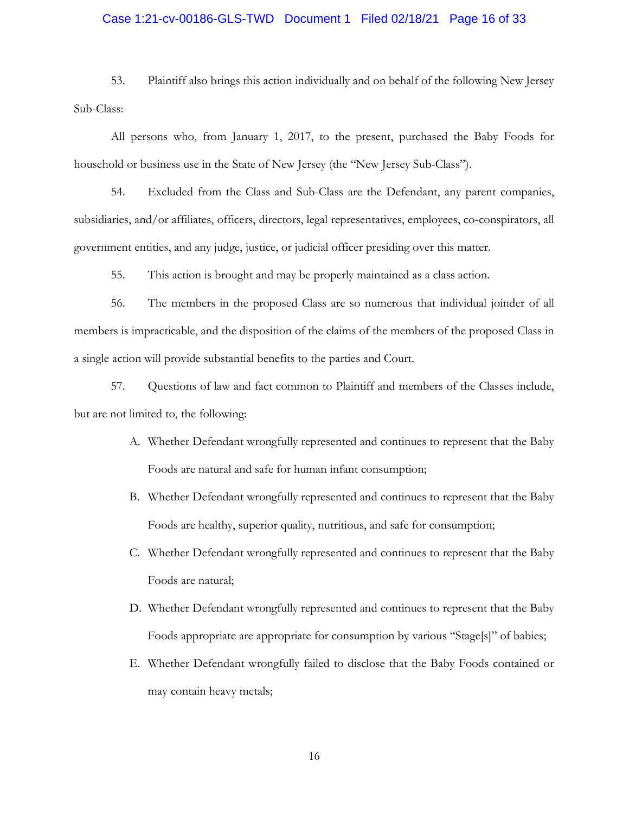# Case 1:21-cv-00186-GLS-TWD Document 1 Filed 02/18/21 Page 16 of 33

53. Plaintiff also brings this action individually and on behalf of the following New Jersey Sub-Class:

All persons who, from January 1, 2017, to the present, purchased the Baby Foods for household or business use in the State of New Jersey (the "New Jersey Sub-Class").

54. Excluded from the Class and Sub-Class are the Defendant, any parent companies, subsidiaries, and/or affiliates, officers, directors, legal representatives, employees, co-conspirators, all government entities, and any judge, justice, or judicial officer presiding over this matter.

55. This action is brought and may be properly maintained as a class action.

56. The members in the proposed Class are so numerous that individual joinder of all members is impracticable, and the disposition of the claims of the members of the proposed Class in a single action will provide substantial benefits to the parties and Court.

57. Questions of law and fact common to Plaintiff and members of the Classes include, but are not limited to, the following:

- A. Whether Defendant wrongfully represented and continues to represent that the Baby Foods are natural and safe for human infant consumption;
- B. Whether Defendant wrongfully represented and continues to represent that the Baby Foods are healthy, superior quality, nutritious, and safe for consumption;
- C. Whether Defendant wrongfully represented and continues to represent that the Baby Foods are natural;
- D. Whether Defendant wrongfully represented and continues to represent that the Baby Foods appropriate are appropriate for consumption by various "Stage[s]" of babies;
- E. Whether Defendant wrongfully failed to disclose that the Baby Foods contained or may contain heavy metals;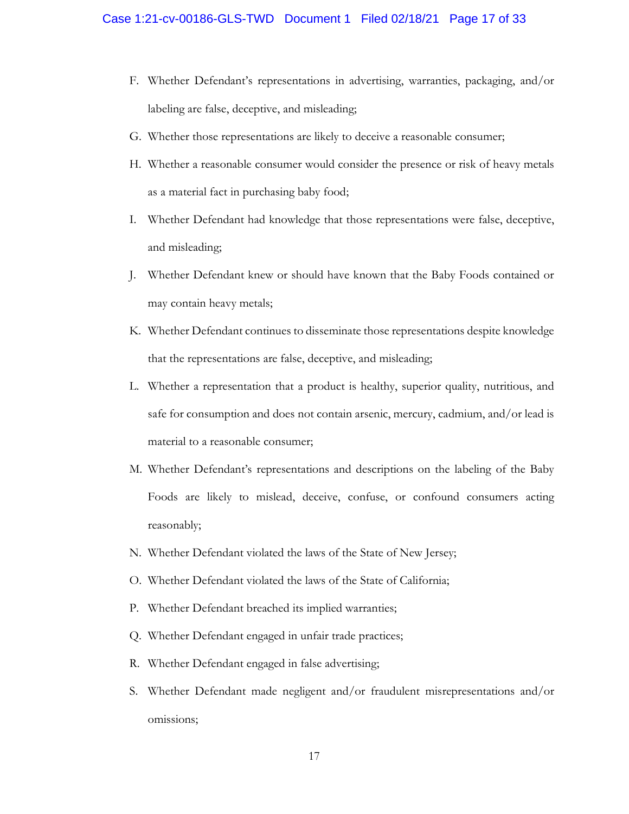- F. Whether Defendant's representations in advertising, warranties, packaging, and/or labeling are false, deceptive, and misleading;
- G. Whether those representations are likely to deceive a reasonable consumer;
- H. Whether a reasonable consumer would consider the presence or risk of heavy metals as a material fact in purchasing baby food;
- I. Whether Defendant had knowledge that those representations were false, deceptive, and misleading;
- J. Whether Defendant knew or should have known that the Baby Foods contained or may contain heavy metals;
- K. Whether Defendant continues to disseminate those representations despite knowledge that the representations are false, deceptive, and misleading;
- L. Whether a representation that a product is healthy, superior quality, nutritious, and safe for consumption and does not contain arsenic, mercury, cadmium, and/or lead is material to a reasonable consumer;
- M. Whether Defendant's representations and descriptions on the labeling of the Baby Foods are likely to mislead, deceive, confuse, or confound consumers acting reasonably;
- N. Whether Defendant violated the laws of the State of New Jersey;
- O. Whether Defendant violated the laws of the State of California;
- P. Whether Defendant breached its implied warranties;
- Q. Whether Defendant engaged in unfair trade practices;
- R. Whether Defendant engaged in false advertising;
- S. Whether Defendant made negligent and/or fraudulent misrepresentations and/or omissions;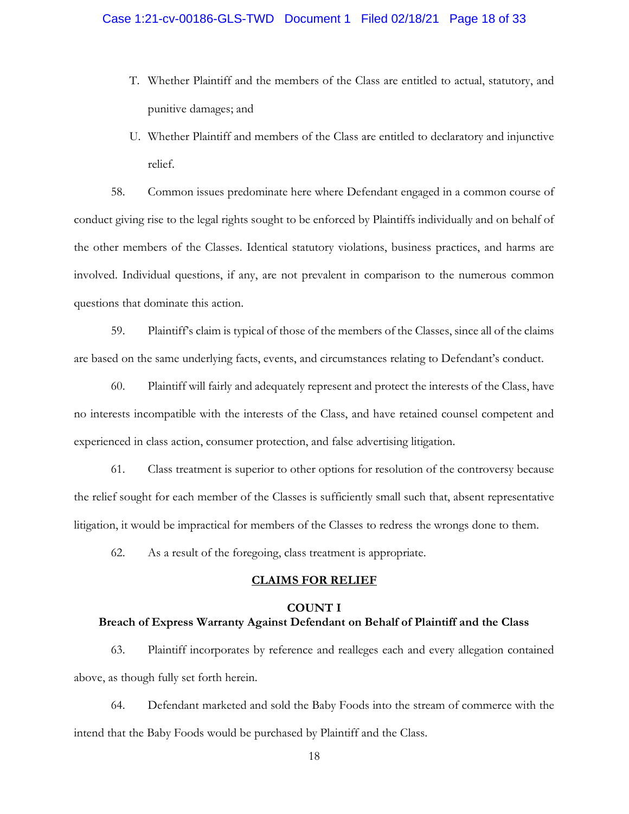# Case 1:21-cv-00186-GLS-TWD Document 1 Filed 02/18/21 Page 18 of 33

- T. Whether Plaintiff and the members of the Class are entitled to actual, statutory, and punitive damages; and
- U. Whether Plaintiff and members of the Class are entitled to declaratory and injunctive relief.

58. Common issues predominate here where Defendant engaged in a common course of conduct giving rise to the legal rights sought to be enforced by Plaintiffs individually and on behalf of the other members of the Classes. Identical statutory violations, business practices, and harms are involved. Individual questions, if any, are not prevalent in comparison to the numerous common questions that dominate this action.

59. Plaintiff's claim is typical of those of the members of the Classes, since all of the claims are based on the same underlying facts, events, and circumstances relating to Defendant's conduct.

60. Plaintiff will fairly and adequately represent and protect the interests of the Class, have no interests incompatible with the interests of the Class, and have retained counsel competent and experienced in class action, consumer protection, and false advertising litigation.

61. Class treatment is superior to other options for resolution of the controversy because the relief sought for each member of the Classes is sufficiently small such that, absent representative litigation, it would be impractical for members of the Classes to redress the wrongs done to them.

62. As a result of the foregoing, class treatment is appropriate.

#### CLAIMS FOR RELIEF

#### COUNT I

# Breach of Express Warranty Against Defendant on Behalf of Plaintiff and the Class

63. Plaintiff incorporates by reference and realleges each and every allegation contained above, as though fully set forth herein.

64. Defendant marketed and sold the Baby Foods into the stream of commerce with the intend that the Baby Foods would be purchased by Plaintiff and the Class.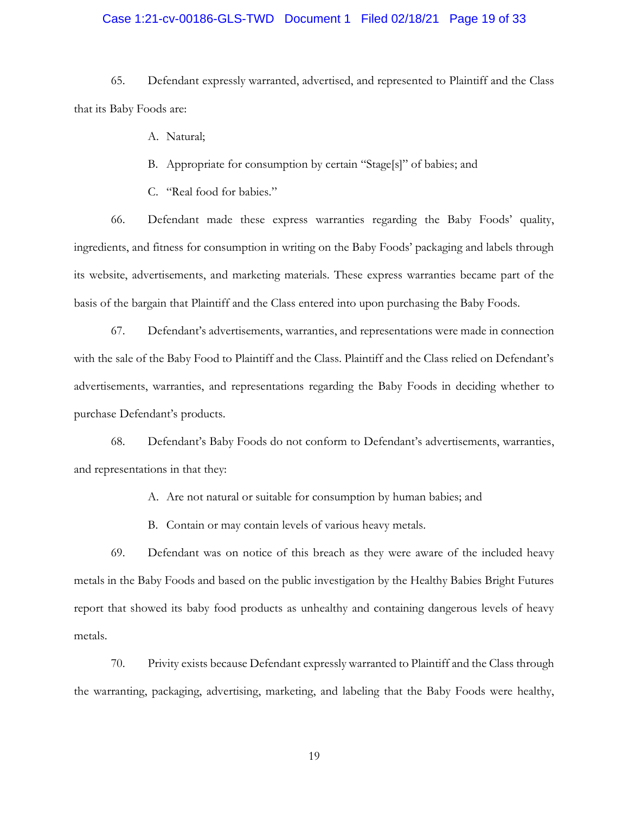# Case 1:21-cv-00186-GLS-TWD Document 1 Filed 02/18/21 Page 19 of 33

65. Defendant expressly warranted, advertised, and represented to Plaintiff and the Class that its Baby Foods are:

A. Natural;

B. Appropriate for consumption by certain "Stage[s]" of babies; and

C. "Real food for babies."

66. Defendant made these express warranties regarding the Baby Foods' quality, ingredients, and fitness for consumption in writing on the Baby Foods' packaging and labels through its website, advertisements, and marketing materials. These express warranties became part of the basis of the bargain that Plaintiff and the Class entered into upon purchasing the Baby Foods.

67. Defendant's advertisements, warranties, and representations were made in connection with the sale of the Baby Food to Plaintiff and the Class. Plaintiff and the Class relied on Defendant's advertisements, warranties, and representations regarding the Baby Foods in deciding whether to purchase Defendant's products.

68. Defendant's Baby Foods do not conform to Defendant's advertisements, warranties, and representations in that they:

A. Are not natural or suitable for consumption by human babies; and

B. Contain or may contain levels of various heavy metals.

69. Defendant was on notice of this breach as they were aware of the included heavy metals in the Baby Foods and based on the public investigation by the Healthy Babies Bright Futures report that showed its baby food products as unhealthy and containing dangerous levels of heavy metals.

70. Privity exists because Defendant expressly warranted to Plaintiff and the Class through the warranting, packaging, advertising, marketing, and labeling that the Baby Foods were healthy,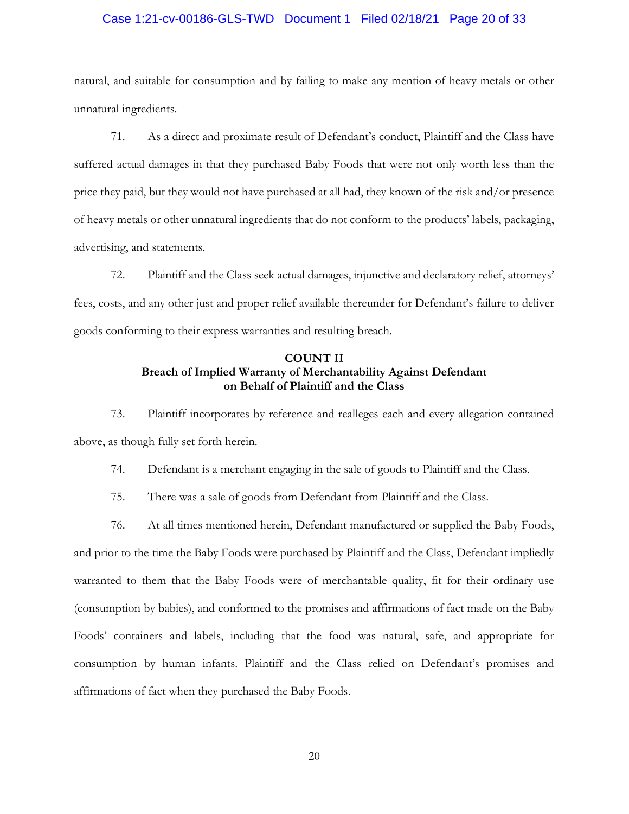# Case 1:21-cv-00186-GLS-TWD Document 1 Filed 02/18/21 Page 20 of 33

natural, and suitable for consumption and by failing to make any mention of heavy metals or other unnatural ingredients.

71. As a direct and proximate result of Defendant's conduct, Plaintiff and the Class have suffered actual damages in that they purchased Baby Foods that were not only worth less than the price they paid, but they would not have purchased at all had, they known of the risk and/or presence of heavy metals or other unnatural ingredients that do not conform to the products' labels, packaging, advertising, and statements.

72. Plaintiff and the Class seek actual damages, injunctive and declaratory relief, attorneys' fees, costs, and any other just and proper relief available thereunder for Defendant's failure to deliver goods conforming to their express warranties and resulting breach.

## COUNT II Breach of Implied Warranty of Merchantability Against Defendant on Behalf of Plaintiff and the Class

73. Plaintiff incorporates by reference and realleges each and every allegation contained above, as though fully set forth herein.

74. Defendant is a merchant engaging in the sale of goods to Plaintiff and the Class.

75. There was a sale of goods from Defendant from Plaintiff and the Class.

76. At all times mentioned herein, Defendant manufactured or supplied the Baby Foods, and prior to the time the Baby Foods were purchased by Plaintiff and the Class, Defendant impliedly warranted to them that the Baby Foods were of merchantable quality, fit for their ordinary use (consumption by babies), and conformed to the promises and affirmations of fact made on the Baby Foods' containers and labels, including that the food was natural, safe, and appropriate for consumption by human infants. Plaintiff and the Class relied on Defendant's promises and affirmations of fact when they purchased the Baby Foods.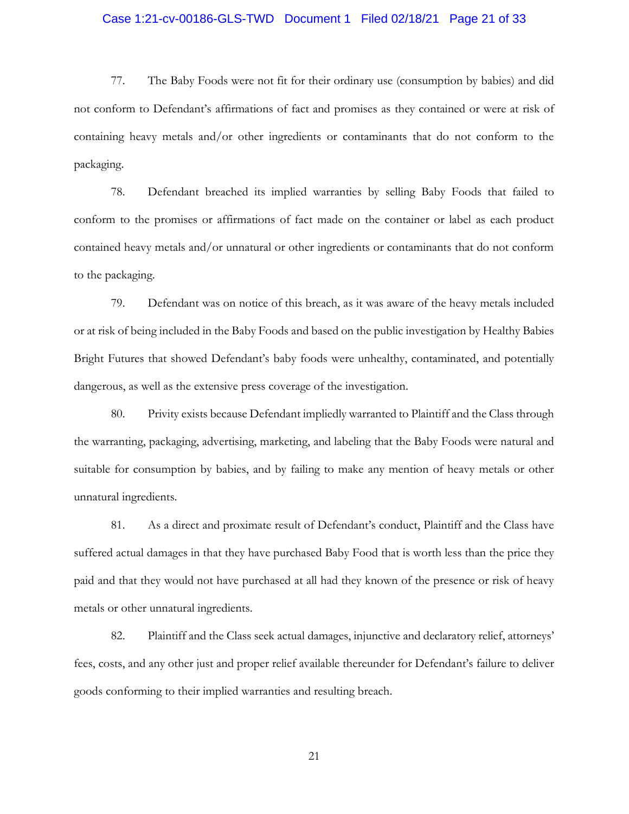# Case 1:21-cv-00186-GLS-TWD Document 1 Filed 02/18/21 Page 21 of 33

77. The Baby Foods were not fit for their ordinary use (consumption by babies) and did not conform to Defendant's affirmations of fact and promises as they contained or were at risk of containing heavy metals and/or other ingredients or contaminants that do not conform to the packaging.

78. Defendant breached its implied warranties by selling Baby Foods that failed to conform to the promises or affirmations of fact made on the container or label as each product contained heavy metals and/or unnatural or other ingredients or contaminants that do not conform to the packaging.

79. Defendant was on notice of this breach, as it was aware of the heavy metals included or at risk of being included in the Baby Foods and based on the public investigation by Healthy Babies Bright Futures that showed Defendant's baby foods were unhealthy, contaminated, and potentially dangerous, as well as the extensive press coverage of the investigation.

80. Privity exists because Defendant impliedly warranted to Plaintiff and the Class through the warranting, packaging, advertising, marketing, and labeling that the Baby Foods were natural and suitable for consumption by babies, and by failing to make any mention of heavy metals or other unnatural ingredients.

81. As a direct and proximate result of Defendant's conduct, Plaintiff and the Class have suffered actual damages in that they have purchased Baby Food that is worth less than the price they paid and that they would not have purchased at all had they known of the presence or risk of heavy metals or other unnatural ingredients.

82. Plaintiff and the Class seek actual damages, injunctive and declaratory relief, attorneys' fees, costs, and any other just and proper relief available thereunder for Defendant's failure to deliver goods conforming to their implied warranties and resulting breach.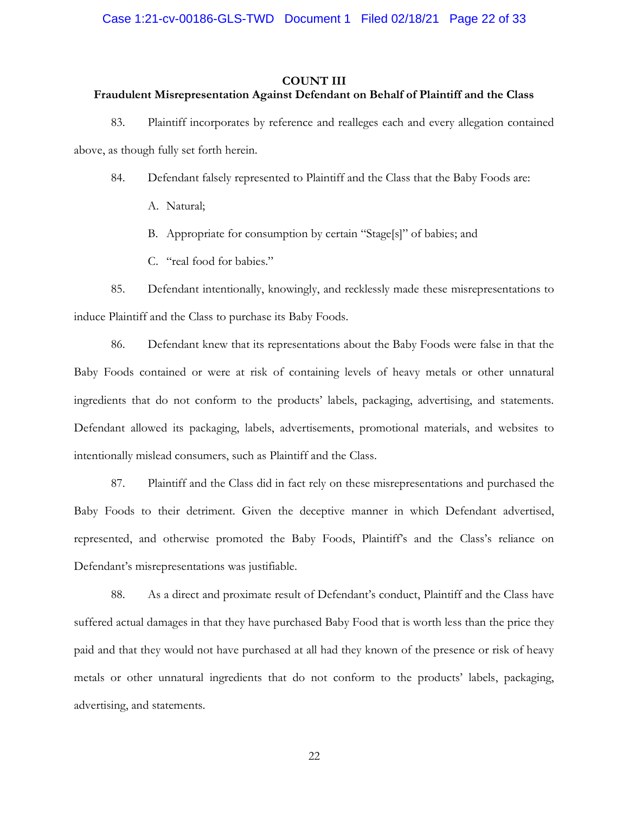#### COUNT III

#### Fraudulent Misrepresentation Against Defendant on Behalf of Plaintiff and the Class

83. Plaintiff incorporates by reference and realleges each and every allegation contained above, as though fully set forth herein.

84. Defendant falsely represented to Plaintiff and the Class that the Baby Foods are:

A. Natural;

B. Appropriate for consumption by certain "Stage[s]" of babies; and

C. "real food for babies."

85. Defendant intentionally, knowingly, and recklessly made these misrepresentations to induce Plaintiff and the Class to purchase its Baby Foods.

86. Defendant knew that its representations about the Baby Foods were false in that the Baby Foods contained or were at risk of containing levels of heavy metals or other unnatural ingredients that do not conform to the products' labels, packaging, advertising, and statements. Defendant allowed its packaging, labels, advertisements, promotional materials, and websites to intentionally mislead consumers, such as Plaintiff and the Class.

87. Plaintiff and the Class did in fact rely on these misrepresentations and purchased the Baby Foods to their detriment. Given the deceptive manner in which Defendant advertised, represented, and otherwise promoted the Baby Foods, Plaintiff's and the Class's reliance on Defendant's misrepresentations was justifiable.

88. As a direct and proximate result of Defendant's conduct, Plaintiff and the Class have suffered actual damages in that they have purchased Baby Food that is worth less than the price they paid and that they would not have purchased at all had they known of the presence or risk of heavy metals or other unnatural ingredients that do not conform to the products' labels, packaging, advertising, and statements.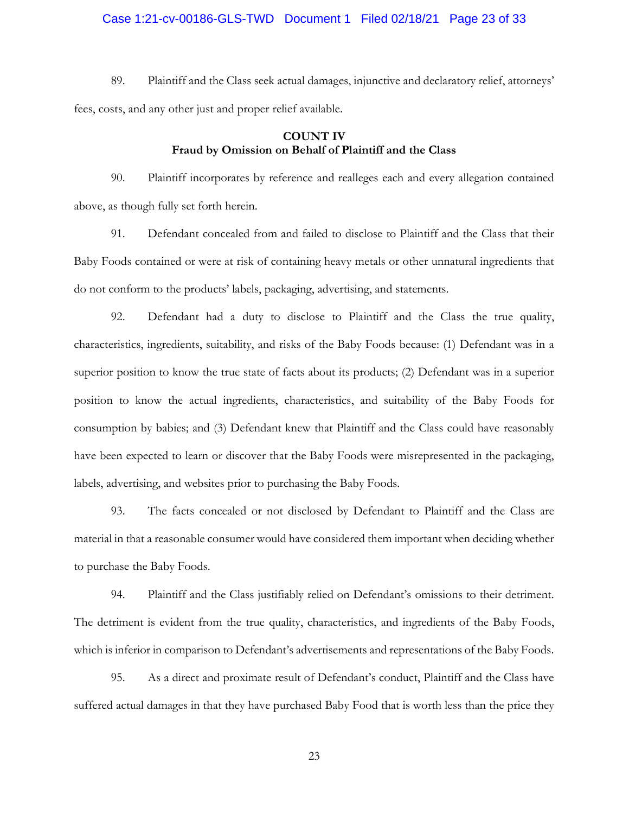# Case 1:21-cv-00186-GLS-TWD Document 1 Filed 02/18/21 Page 23 of 33

89. Plaintiff and the Class seek actual damages, injunctive and declaratory relief, attorneys' fees, costs, and any other just and proper relief available.

# COUNT IV Fraud by Omission on Behalf of Plaintiff and the Class

90. Plaintiff incorporates by reference and realleges each and every allegation contained above, as though fully set forth herein.

91. Defendant concealed from and failed to disclose to Plaintiff and the Class that their Baby Foods contained or were at risk of containing heavy metals or other unnatural ingredients that do not conform to the products' labels, packaging, advertising, and statements.

92. Defendant had a duty to disclose to Plaintiff and the Class the true quality, characteristics, ingredients, suitability, and risks of the Baby Foods because: (1) Defendant was in a superior position to know the true state of facts about its products; (2) Defendant was in a superior position to know the actual ingredients, characteristics, and suitability of the Baby Foods for consumption by babies; and (3) Defendant knew that Plaintiff and the Class could have reasonably have been expected to learn or discover that the Baby Foods were misrepresented in the packaging, labels, advertising, and websites prior to purchasing the Baby Foods.

93. The facts concealed or not disclosed by Defendant to Plaintiff and the Class are material in that a reasonable consumer would have considered them important when deciding whether to purchase the Baby Foods.

94. Plaintiff and the Class justifiably relied on Defendant's omissions to their detriment. The detriment is evident from the true quality, characteristics, and ingredients of the Baby Foods, which is inferior in comparison to Defendant's advertisements and representations of the Baby Foods.

95. As a direct and proximate result of Defendant's conduct, Plaintiff and the Class have suffered actual damages in that they have purchased Baby Food that is worth less than the price they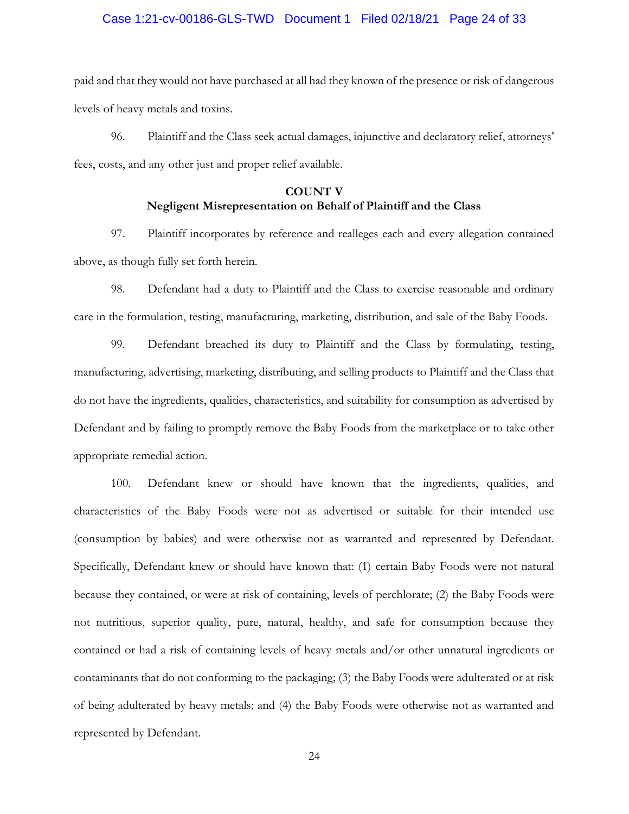# Case 1:21-cv-00186-GLS-TWD Document 1 Filed 02/18/21 Page 24 of 33

paid and that they would not have purchased at all had they known of the presence or risk of dangerous levels of heavy metals and toxins.

96. Plaintiff and the Class seek actual damages, injunctive and declaratory relief, attorneys' fees, costs, and any other just and proper relief available.

# COUNT V Negligent Misrepresentation on Behalf of Plaintiff and the Class

97. Plaintiff incorporates by reference and realleges each and every allegation contained above, as though fully set forth herein.

98. Defendant had a duty to Plaintiff and the Class to exercise reasonable and ordinary care in the formulation, testing, manufacturing, marketing, distribution, and sale of the Baby Foods.

99. Defendant breached its duty to Plaintiff and the Class by formulating, testing, manufacturing, advertising, marketing, distributing, and selling products to Plaintiff and the Class that do not have the ingredients, qualities, characteristics, and suitability for consumption as advertised by Defendant and by failing to promptly remove the Baby Foods from the marketplace or to take other appropriate remedial action.

100. Defendant knew or should have known that the ingredients, qualities, and characteristics of the Baby Foods were not as advertised or suitable for their intended use (consumption by babies) and were otherwise not as warranted and represented by Defendant. Specifically, Defendant knew or should have known that: (1) certain Baby Foods were not natural because they contained, or were at risk of containing, levels of perchlorate; (2) the Baby Foods were not nutritious, superior quality, pure, natural, healthy, and safe for consumption because they contained or had a risk of containing levels of heavy metals and/or other unnatural ingredients or contaminants that do not conforming to the packaging; (3) the Baby Foods were adulterated or at risk of being adulterated by heavy metals; and (4) the Baby Foods were otherwise not as warranted and represented by Defendant.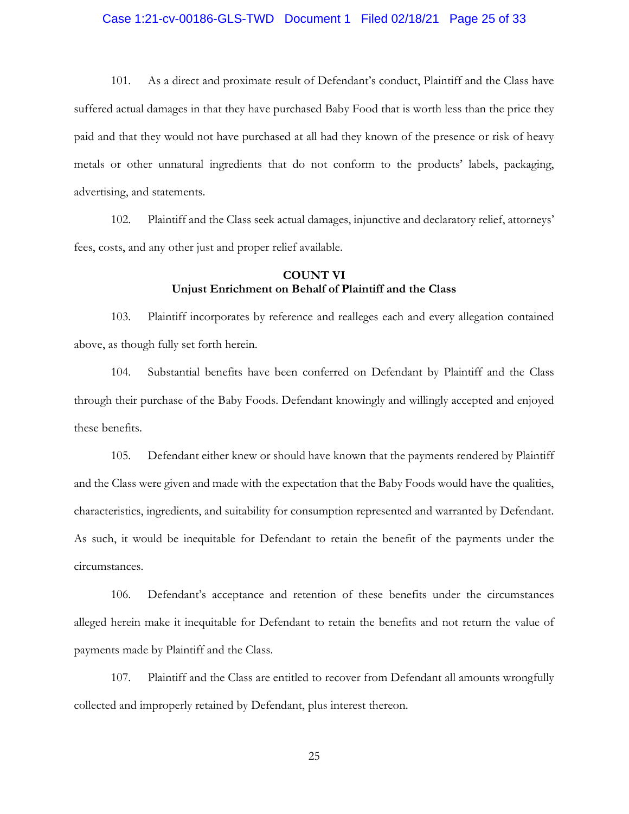# Case 1:21-cv-00186-GLS-TWD Document 1 Filed 02/18/21 Page 25 of 33

101. As a direct and proximate result of Defendant's conduct, Plaintiff and the Class have suffered actual damages in that they have purchased Baby Food that is worth less than the price they paid and that they would not have purchased at all had they known of the presence or risk of heavy metals or other unnatural ingredients that do not conform to the products' labels, packaging, advertising, and statements.

102. Plaintiff and the Class seek actual damages, injunctive and declaratory relief, attorneys' fees, costs, and any other just and proper relief available.

### COUNT VI Unjust Enrichment on Behalf of Plaintiff and the Class

103. Plaintiff incorporates by reference and realleges each and every allegation contained above, as though fully set forth herein.

104. Substantial benefits have been conferred on Defendant by Plaintiff and the Class through their purchase of the Baby Foods. Defendant knowingly and willingly accepted and enjoyed these benefits.

105. Defendant either knew or should have known that the payments rendered by Plaintiff and the Class were given and made with the expectation that the Baby Foods would have the qualities, characteristics, ingredients, and suitability for consumption represented and warranted by Defendant. As such, it would be inequitable for Defendant to retain the benefit of the payments under the circumstances.

106. Defendant's acceptance and retention of these benefits under the circumstances alleged herein make it inequitable for Defendant to retain the benefits and not return the value of payments made by Plaintiff and the Class.

107. Plaintiff and the Class are entitled to recover from Defendant all amounts wrongfully collected and improperly retained by Defendant, plus interest thereon.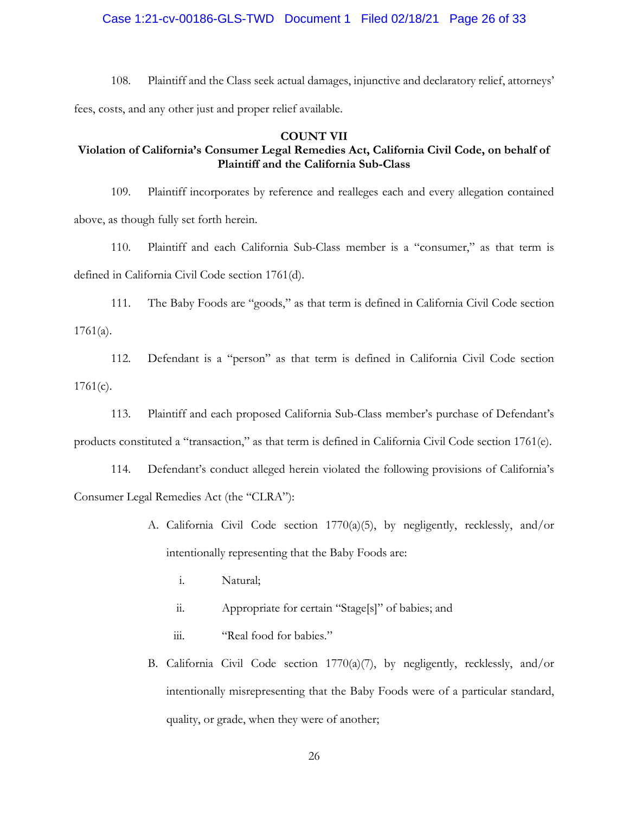Case 1:21-cv-00186-GLS-TWD Document 1 Filed 02/18/21 Page 26 of 33

108. Plaintiff and the Class seek actual damages, injunctive and declaratory relief, attorneys' fees, costs, and any other just and proper relief available.

### COUNT VII

# Violation of California's Consumer Legal Remedies Act, California Civil Code, on behalf of Plaintiff and the California Sub-Class

109. Plaintiff incorporates by reference and realleges each and every allegation contained above, as though fully set forth herein.

110. Plaintiff and each California Sub-Class member is a "consumer," as that term is defined in California Civil Code section 1761(d).

111. The Baby Foods are "goods," as that term is defined in California Civil Code section  $1761(a)$ .

112. Defendant is a "person" as that term is defined in California Civil Code section  $1761(c)$ .

113. Plaintiff and each proposed California Sub-Class member's purchase of Defendant's products constituted a "transaction," as that term is defined in California Civil Code section 1761(e).

114. Defendant's conduct alleged herein violated the following provisions of California's Consumer Legal Remedies Act (the "CLRA"):

- A. California Civil Code section 1770(a)(5), by negligently, recklessly, and/or intentionally representing that the Baby Foods are:
	- i. Natural;
	- ii. Appropriate for certain "Stage[s]" of babies; and
	- iii. "Real food for babies."
- B. California Civil Code section 1770(a)(7), by negligently, recklessly, and/or intentionally misrepresenting that the Baby Foods were of a particular standard, quality, or grade, when they were of another;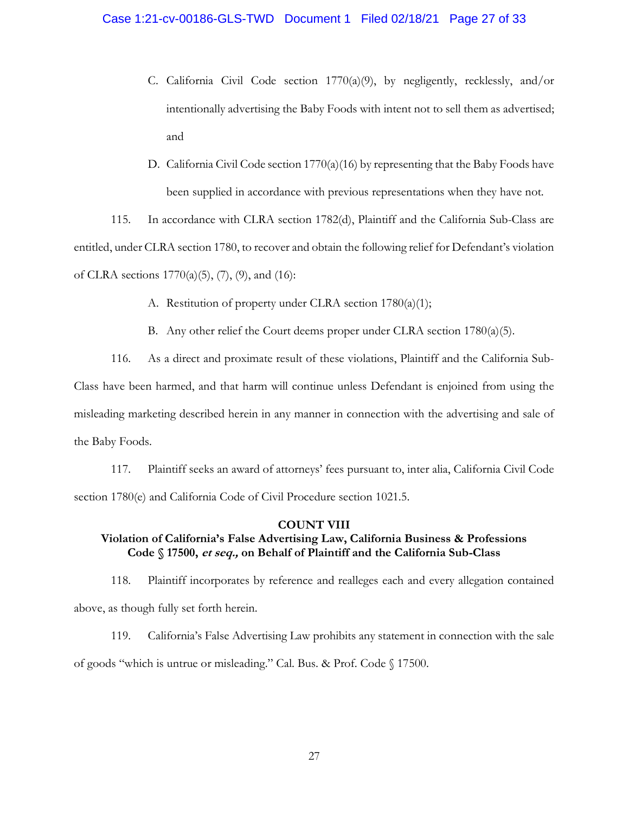- C. California Civil Code section 1770(a)(9), by negligently, recklessly, and/or intentionally advertising the Baby Foods with intent not to sell them as advertised; and
- D. California Civil Code section 1770(a)(16) by representing that the Baby Foods have been supplied in accordance with previous representations when they have not.

115. In accordance with CLRA section 1782(d), Plaintiff and the California Sub-Class are entitled, under CLRA section 1780, to recover and obtain the following relief for Defendant's violation of CLRA sections  $1770(a)(5)$ ,  $(7)$ ,  $(9)$ , and  $(16)$ :

A. Restitution of property under CLRA section 1780(a)(1);

B. Any other relief the Court deems proper under CLRA section 1780(a)(5).

116. As a direct and proximate result of these violations, Plaintiff and the California Sub-Class have been harmed, and that harm will continue unless Defendant is enjoined from using the misleading marketing described herein in any manner in connection with the advertising and sale of the Baby Foods.

117. Plaintiff seeks an award of attorneys' fees pursuant to, inter alia, California Civil Code section 1780(e) and California Code of Civil Procedure section 1021.5.

#### COUNT VIII

# Violation of California's False Advertising Law, California Business & Professions Code § 17500, et seq., on Behalf of Plaintiff and the California Sub-Class

118. Plaintiff incorporates by reference and realleges each and every allegation contained above, as though fully set forth herein.

119. California's False Advertising Law prohibits any statement in connection with the sale of goods "which is untrue or misleading." Cal. Bus. & Prof. Code § 17500.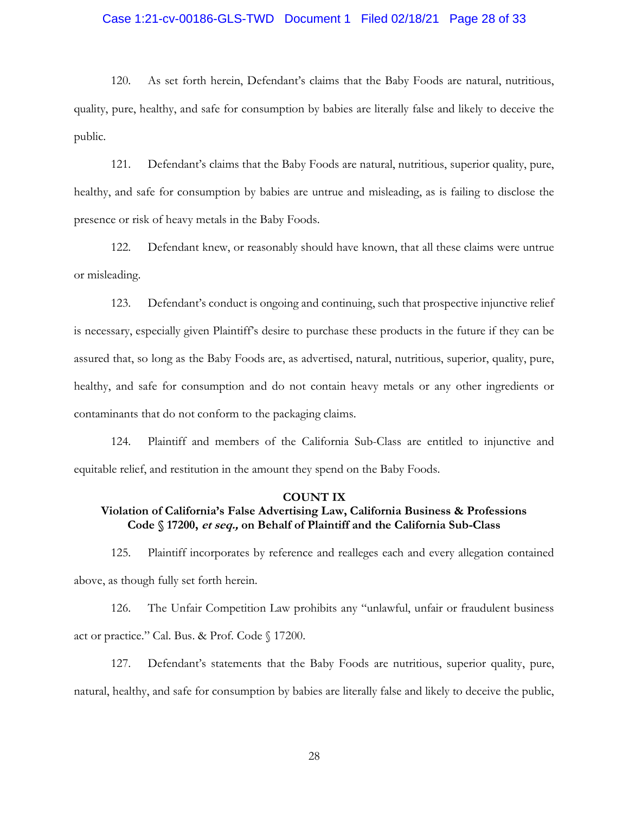# Case 1:21-cv-00186-GLS-TWD Document 1 Filed 02/18/21 Page 28 of 33

120. As set forth herein, Defendant's claims that the Baby Foods are natural, nutritious, quality, pure, healthy, and safe for consumption by babies are literally false and likely to deceive the public.

121. Defendant's claims that the Baby Foods are natural, nutritious, superior quality, pure, healthy, and safe for consumption by babies are untrue and misleading, as is failing to disclose the presence or risk of heavy metals in the Baby Foods.

122. Defendant knew, or reasonably should have known, that all these claims were untrue or misleading.

123. Defendant's conduct is ongoing and continuing, such that prospective injunctive relief is necessary, especially given Plaintiff's desire to purchase these products in the future if they can be assured that, so long as the Baby Foods are, as advertised, natural, nutritious, superior, quality, pure, healthy, and safe for consumption and do not contain heavy metals or any other ingredients or contaminants that do not conform to the packaging claims.

124. Plaintiff and members of the California Sub-Class are entitled to injunctive and equitable relief, and restitution in the amount they spend on the Baby Foods.

#### COUNT IX

# Violation of California's False Advertising Law, California Business & Professions Code § 17200, et seq., on Behalf of Plaintiff and the California Sub-Class

125. Plaintiff incorporates by reference and realleges each and every allegation contained above, as though fully set forth herein.

126. The Unfair Competition Law prohibits any "unlawful, unfair or fraudulent business act or practice." Cal. Bus. & Prof. Code § 17200.

127. Defendant's statements that the Baby Foods are nutritious, superior quality, pure, natural, healthy, and safe for consumption by babies are literally false and likely to deceive the public,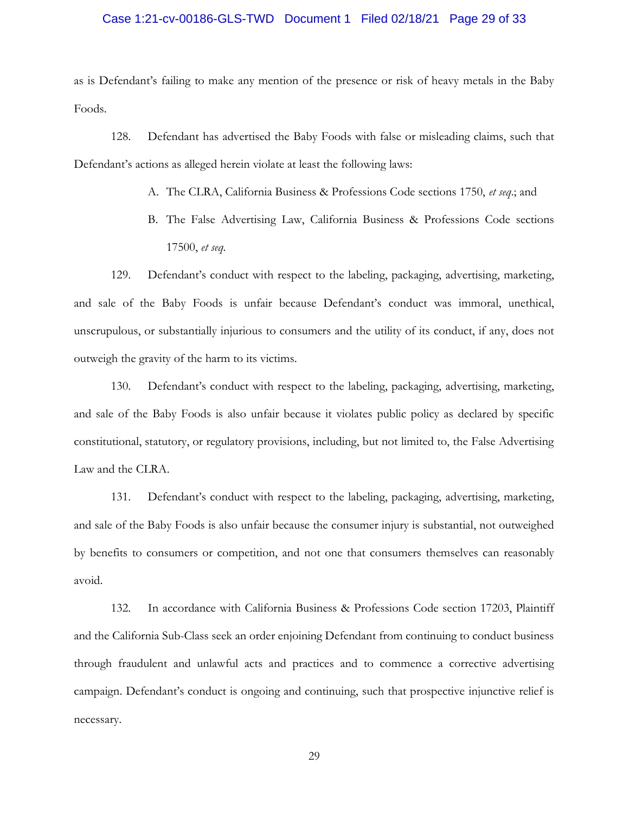# Case 1:21-cv-00186-GLS-TWD Document 1 Filed 02/18/21 Page 29 of 33

as is Defendant's failing to make any mention of the presence or risk of heavy metals in the Baby Foods.

128. Defendant has advertised the Baby Foods with false or misleading claims, such that Defendant's actions as alleged herein violate at least the following laws:

- A. The CLRA, California Business & Professions Code sections 1750, et seq.; and
- B. The False Advertising Law, California Business & Professions Code sections 17500, et seq.

129. Defendant's conduct with respect to the labeling, packaging, advertising, marketing, and sale of the Baby Foods is unfair because Defendant's conduct was immoral, unethical, unscrupulous, or substantially injurious to consumers and the utility of its conduct, if any, does not outweigh the gravity of the harm to its victims.

130. Defendant's conduct with respect to the labeling, packaging, advertising, marketing, and sale of the Baby Foods is also unfair because it violates public policy as declared by specific constitutional, statutory, or regulatory provisions, including, but not limited to, the False Advertising Law and the CLRA.

131. Defendant's conduct with respect to the labeling, packaging, advertising, marketing, and sale of the Baby Foods is also unfair because the consumer injury is substantial, not outweighed by benefits to consumers or competition, and not one that consumers themselves can reasonably avoid.

132. In accordance with California Business & Professions Code section 17203, Plaintiff and the California Sub-Class seek an order enjoining Defendant from continuing to conduct business through fraudulent and unlawful acts and practices and to commence a corrective advertising campaign. Defendant's conduct is ongoing and continuing, such that prospective injunctive relief is necessary.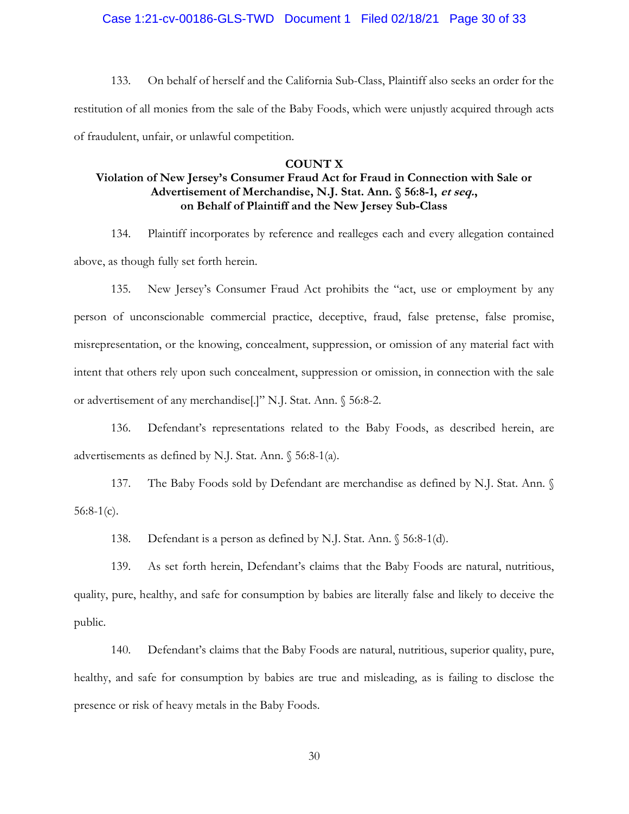# Case 1:21-cv-00186-GLS-TWD Document 1 Filed 02/18/21 Page 30 of 33

133. On behalf of herself and the California Sub-Class, Plaintiff also seeks an order for the restitution of all monies from the sale of the Baby Foods, which were unjustly acquired through acts of fraudulent, unfair, or unlawful competition.

#### COUNT X

# Violation of New Jersey's Consumer Fraud Act for Fraud in Connection with Sale or Advertisement of Merchandise, N.J. Stat. Ann. § 56:8-1, et seq., on Behalf of Plaintiff and the New Jersey Sub-Class

134. Plaintiff incorporates by reference and realleges each and every allegation contained above, as though fully set forth herein.

135. New Jersey's Consumer Fraud Act prohibits the "act, use or employment by any person of unconscionable commercial practice, deceptive, fraud, false pretense, false promise, misrepresentation, or the knowing, concealment, suppression, or omission of any material fact with intent that others rely upon such concealment, suppression or omission, in connection with the sale or advertisement of any merchandise[.]" N.J. Stat. Ann. § 56:8-2.

136. Defendant's representations related to the Baby Foods, as described herein, are advertisements as defined by N.J. Stat. Ann. § 56:8-1(a).

137. The Baby Foods sold by Defendant are merchandise as defined by N.J. Stat. Ann. §  $56:8-1(c)$ .

138. Defendant is a person as defined by N.J. Stat. Ann. § 56:8-1(d).

139. As set forth herein, Defendant's claims that the Baby Foods are natural, nutritious, quality, pure, healthy, and safe for consumption by babies are literally false and likely to deceive the public.

140. Defendant's claims that the Baby Foods are natural, nutritious, superior quality, pure, healthy, and safe for consumption by babies are true and misleading, as is failing to disclose the presence or risk of heavy metals in the Baby Foods.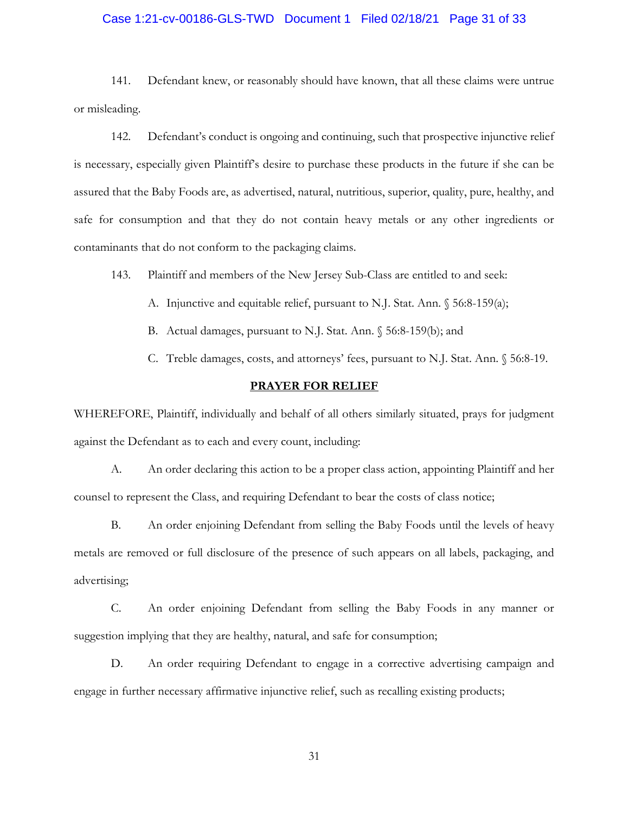# Case 1:21-cv-00186-GLS-TWD Document 1 Filed 02/18/21 Page 31 of 33

141. Defendant knew, or reasonably should have known, that all these claims were untrue or misleading.

142. Defendant's conduct is ongoing and continuing, such that prospective injunctive relief is necessary, especially given Plaintiff's desire to purchase these products in the future if she can be assured that the Baby Foods are, as advertised, natural, nutritious, superior, quality, pure, healthy, and safe for consumption and that they do not contain heavy metals or any other ingredients or contaminants that do not conform to the packaging claims.

143. Plaintiff and members of the New Jersey Sub-Class are entitled to and seek:

- A. Injunctive and equitable relief, pursuant to N.J. Stat. Ann. § 56:8-159(a);
- B. Actual damages, pursuant to N.J. Stat. Ann. § 56:8-159(b); and

C. Treble damages, costs, and attorneys' fees, pursuant to N.J. Stat. Ann. § 56:8-19.

#### PRAYER FOR RELIEF

WHEREFORE, Plaintiff, individually and behalf of all others similarly situated, prays for judgment against the Defendant as to each and every count, including:

A. An order declaring this action to be a proper class action, appointing Plaintiff and her counsel to represent the Class, and requiring Defendant to bear the costs of class notice;

B. An order enjoining Defendant from selling the Baby Foods until the levels of heavy metals are removed or full disclosure of the presence of such appears on all labels, packaging, and advertising;

C. An order enjoining Defendant from selling the Baby Foods in any manner or suggestion implying that they are healthy, natural, and safe for consumption;

D. An order requiring Defendant to engage in a corrective advertising campaign and engage in further necessary affirmative injunctive relief, such as recalling existing products;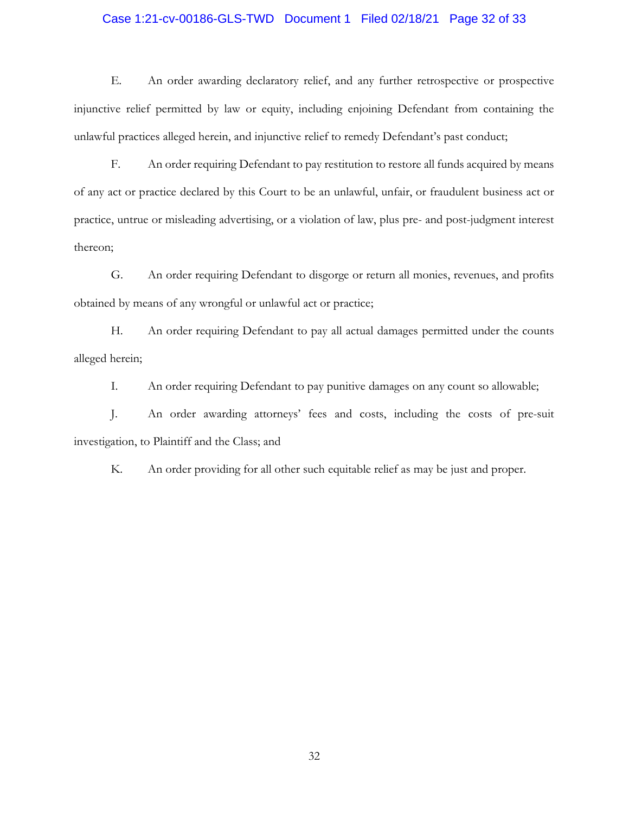#### Case 1:21-cv-00186-GLS-TWD Document 1 Filed 02/18/21 Page 32 of 33

E. An order awarding declaratory relief, and any further retrospective or prospective injunctive relief permitted by law or equity, including enjoining Defendant from containing the unlawful practices alleged herein, and injunctive relief to remedy Defendant's past conduct;

F. An order requiring Defendant to pay restitution to restore all funds acquired by means of any act or practice declared by this Court to be an unlawful, unfair, or fraudulent business act or practice, untrue or misleading advertising, or a violation of law, plus pre- and post-judgment interest thereon;

G. An order requiring Defendant to disgorge or return all monies, revenues, and profits obtained by means of any wrongful or unlawful act or practice;

H. An order requiring Defendant to pay all actual damages permitted under the counts alleged herein;

I. An order requiring Defendant to pay punitive damages on any count so allowable;

J. An order awarding attorneys' fees and costs, including the costs of pre-suit investigation, to Plaintiff and the Class; and

K. An order providing for all other such equitable relief as may be just and proper.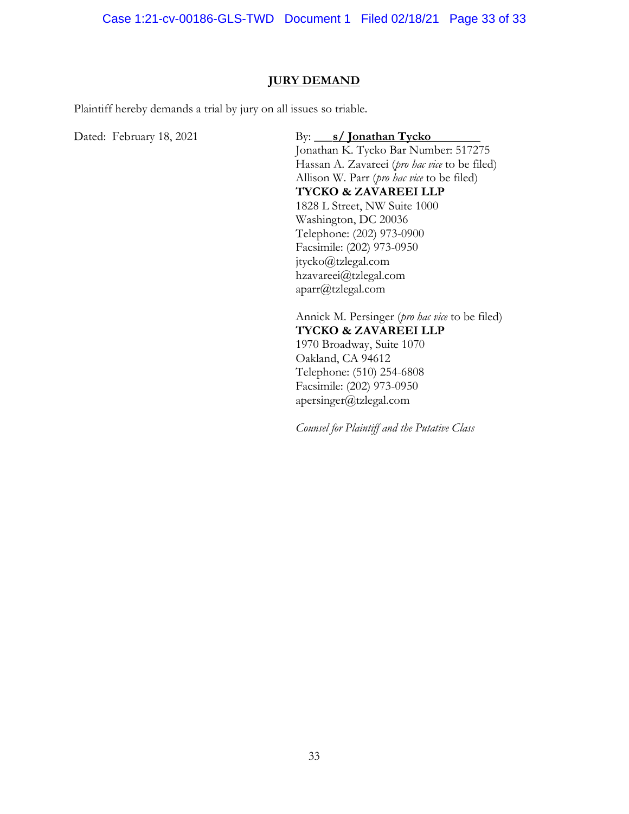Case 1:21-cv-00186-GLS-TWD Document 1 Filed 02/18/21 Page 33 of 33

#### JURY DEMAND

Plaintiff hereby demands a trial by jury on all issues so triable.

Dated: February 18, 2021 By: S/Jonathan Tycko

 Jonathan K. Tycko Bar Number: 517275 Hassan A. Zavareei (*pro hac vice* to be filed) Allison W. Parr (*pro hac vice* to be filed) TYCKO & ZAVAREEI LLP 1828 L Street, NW Suite 1000 Washington, DC 20036 Telephone: (202) 973-0900 Facsimile: (202) 973-0950 jtycko@tzlegal.com hzavareei@tzlegal.com aparr@tzlegal.com

Annick M. Persinger (*pro hac vice* to be filed) TYCKO & ZAVAREEI LLP 1970 Broadway, Suite 1070 Oakland, CA 94612 Telephone: (510) 254-6808 Facsimile: (202) 973-0950 apersinger@tzlegal.com

Counsel for Plaintiff and the Putative Class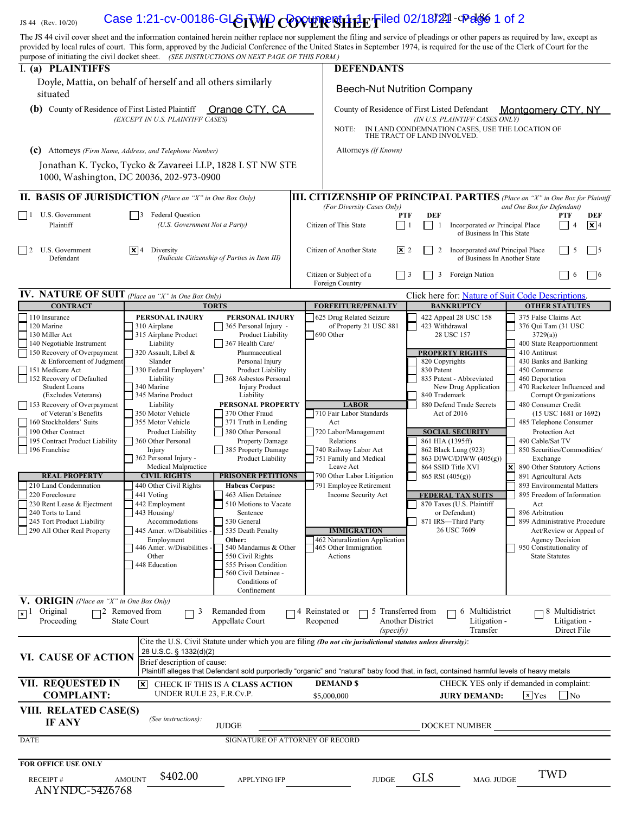# $L_{\rm JS\,44\,~(Rev.~10/20)}$  Case 1:21-cv-00186-GLSTWP COVER SHEFILE Filed 02/18/221-Page 1 of 2

|                                                                                                         | The JS 44 civil cover sheet and the information contained herein neither replace nor supplement the filing and service of pleadings or other papers as required by law, except as<br>provided by local rules of court. This form, approved by the Judicial Conference of the United States in September 1974, is required for the use of the Clerk of Court for the<br>purpose of initiating the civil docket sheet. (SEE INSTRUCTIONS ON NEXT PAGE OF THIS FORM.) |                                                                                                                                                                                                         |                                                                                     |                                                 |                                                                  |                                                   |                                                       |                       |  |
|---------------------------------------------------------------------------------------------------------|--------------------------------------------------------------------------------------------------------------------------------------------------------------------------------------------------------------------------------------------------------------------------------------------------------------------------------------------------------------------------------------------------------------------------------------------------------------------|---------------------------------------------------------------------------------------------------------------------------------------------------------------------------------------------------------|-------------------------------------------------------------------------------------|-------------------------------------------------|------------------------------------------------------------------|---------------------------------------------------|-------------------------------------------------------|-----------------------|--|
| I. (a) PLAINTIFFS                                                                                       |                                                                                                                                                                                                                                                                                                                                                                                                                                                                    |                                                                                                                                                                                                         | <b>DEFENDANTS</b>                                                                   |                                                 |                                                                  |                                                   |                                                       |                       |  |
| Doyle, Mattia, on behalf of herself and all others similarly<br>situated                                |                                                                                                                                                                                                                                                                                                                                                                                                                                                                    |                                                                                                                                                                                                         | <b>Beech-Nut Nutrition Company</b>                                                  |                                                 |                                                                  |                                                   |                                                       |                       |  |
| (b) County of Residence of First Listed Plaintiff<br>Orange CTY, CA<br>(EXCEPT IN U.S. PLAINTIFF CASES) |                                                                                                                                                                                                                                                                                                                                                                                                                                                                    | County of Residence of First Listed Defendant<br><b>Montgomery CTY, NY</b><br>(IN U.S. PLAINTIFF CASES ONLY)<br>IN LAND CONDEMNATION CASES, USE THE LOCATION OF<br>NOTE:<br>THE TRACT OF LAND INVOLVED. |                                                                                     |                                                 |                                                                  |                                                   |                                                       |                       |  |
|                                                                                                         | (c) Attorneys (Firm Name, Address, and Telephone Number)                                                                                                                                                                                                                                                                                                                                                                                                           |                                                                                                                                                                                                         | Attorneys (If Known)                                                                |                                                 |                                                                  |                                                   |                                                       |                       |  |
|                                                                                                         | Jonathan K. Tycko, Tycko & Zavareei LLP, 1828 L ST NW STE<br>1000, Washington, DC 20036, 202-973-0900                                                                                                                                                                                                                                                                                                                                                              |                                                                                                                                                                                                         |                                                                                     |                                                 |                                                                  |                                                   |                                                       |                       |  |
|                                                                                                         | <b>II. BASIS OF JURISDICTION</b> (Place an "X" in One Box Only)                                                                                                                                                                                                                                                                                                                                                                                                    |                                                                                                                                                                                                         | <b>III. CITIZENSHIP OF PRINCIPAL PARTIES</b> (Place an "X" in One Box for Plaintiff |                                                 |                                                                  |                                                   |                                                       |                       |  |
| U.S. Government<br>$\vert$ 1                                                                            | <b>Federal Question</b><br>$\overline{3}$                                                                                                                                                                                                                                                                                                                                                                                                                          |                                                                                                                                                                                                         | (For Diversity Cases Only)<br><b>PTF</b>                                            | <b>DEF</b>                                      |                                                                  | and One Box for Defendant)                        | PTF                                                   | DEF                   |  |
| Plaintiff                                                                                               | (U.S. Government Not a Party)                                                                                                                                                                                                                                                                                                                                                                                                                                      |                                                                                                                                                                                                         | Citizen of This State<br>$\vert$   1                                                | -1                                              | Incorporated or Principal Place<br>of Business In This State     |                                                   | $\overline{4}$                                        | $\sqrt{\mathbf{x}}$ 4 |  |
| U.S. Government<br>$\overline{12}$<br>Defendant                                                         | $ \mathbf{x} $ 4<br>Diversity<br>(Indicate Citizenship of Parties in Item III)                                                                                                                                                                                                                                                                                                                                                                                     |                                                                                                                                                                                                         | $ \mathbf{x} $ 2<br>Citizen of Another State                                        | 2                                               | Incorporated and Principal Place<br>of Business In Another State |                                                   | 5                                                     | l 15                  |  |
|                                                                                                         |                                                                                                                                                                                                                                                                                                                                                                                                                                                                    |                                                                                                                                                                                                         | Citizen or Subject of a<br>$ $   3<br>Foreign Country                               | 3                                               | Foreign Nation                                                   |                                                   | 6                                                     | $\vert$   6           |  |
| <b>IV. NATURE OF SUIT</b> (Place an "X" in One Box Only)                                                |                                                                                                                                                                                                                                                                                                                                                                                                                                                                    |                                                                                                                                                                                                         |                                                                                     |                                                 | Click here for: Nature of Suit Code Descriptions.                |                                                   |                                                       |                       |  |
| <b>CONTRACT</b><br>110 Insurance                                                                        | <b>TORTS</b><br>PERSONAL INJURY<br>PERSONAL INJURY                                                                                                                                                                                                                                                                                                                                                                                                                 |                                                                                                                                                                                                         | <b>FORFEITURE/PENALTY</b>                                                           |                                                 | <b>BANKRUPTCY</b>                                                |                                                   | <b>OTHER STATUTES</b>                                 |                       |  |
| 120 Marine                                                                                              | 365 Personal Injury -<br>310 Airplane                                                                                                                                                                                                                                                                                                                                                                                                                              |                                                                                                                                                                                                         | 625 Drug Related Seizure<br>of Property 21 USC 881                                  | 423 Withdrawal                                  | 422 Appeal 28 USC 158                                            | 375 False Claims Act<br>376 Qui Tam (31 USC       |                                                       |                       |  |
| 130 Miller Act<br>140 Negotiable Instrument                                                             | 315 Airplane Product<br>Product Liability<br>Liability<br>367 Health Care/                                                                                                                                                                                                                                                                                                                                                                                         |                                                                                                                                                                                                         | 690 Other                                                                           |                                                 | 28 USC 157                                                       | 3729(a)<br>400 State Reapportionment              |                                                       |                       |  |
| 150 Recovery of Overpayment                                                                             | 320 Assault, Libel &<br>Pharmaceutical<br>Slander<br>Personal Injury                                                                                                                                                                                                                                                                                                                                                                                               |                                                                                                                                                                                                         |                                                                                     |                                                 | <b>PROPERTY RIGHTS</b>                                           | 410 Antitrust<br>430 Banks and Banking            |                                                       |                       |  |
| & Enforcement of Judgment<br>151 Medicare Act                                                           | 330 Federal Employers'<br>Product Liability                                                                                                                                                                                                                                                                                                                                                                                                                        |                                                                                                                                                                                                         |                                                                                     | 820 Copyrights<br>830 Patent                    |                                                                  | 450 Commerce                                      |                                                       |                       |  |
| 152 Recovery of Defaulted<br><b>Student Loans</b>                                                       | 368 Asbestos Personal<br>Liability<br>340 Marine<br><b>Injury Product</b>                                                                                                                                                                                                                                                                                                                                                                                          |                                                                                                                                                                                                         |                                                                                     |                                                 | 835 Patent - Abbreviated<br>New Drug Application                 | 460 Deportation<br>470 Racketeer Influenced and   |                                                       |                       |  |
| (Excludes Veterans)                                                                                     | 345 Marine Product<br>Liability                                                                                                                                                                                                                                                                                                                                                                                                                                    |                                                                                                                                                                                                         |                                                                                     | 840 Trademark                                   |                                                                  |                                                   | Corrupt Organizations                                 |                       |  |
| 153 Recovery of Overpayment<br>of Veteran's Benefits                                                    | PERSONAL PROPERTY<br>Liability<br>350 Motor Vehicle<br>370 Other Fraud                                                                                                                                                                                                                                                                                                                                                                                             |                                                                                                                                                                                                         | <b>LABOR</b><br>710 Fair Labor Standards                                            |                                                 | 880 Defend Trade Secrets<br>Act of 2016                          | 480 Consumer Credit                               | $(15$ USC 1681 or 1692)                               |                       |  |
| 160 Stockholders' Suits<br>190 Other Contract                                                           | 355 Motor Vehicle<br>371 Truth in Lending<br>380 Other Personal<br>Product Liability                                                                                                                                                                                                                                                                                                                                                                               |                                                                                                                                                                                                         | Act<br>720 Labor/Management                                                         |                                                 | <b>SOCIAL SECURITY</b>                                           | 485 Telephone Consumer                            |                                                       |                       |  |
| 195 Contract Product Liability                                                                          | 360 Other Personal<br><b>Property Damage</b>                                                                                                                                                                                                                                                                                                                                                                                                                       |                                                                                                                                                                                                         | Relations                                                                           |                                                 | 861 HIA (1395ff)                                                 |                                                   | Protection Act<br>490 Cable/Sat TV                    |                       |  |
| 196 Franchise                                                                                           | 385 Property Damage<br>Injury<br>362 Personal Injury -<br>Product Liability                                                                                                                                                                                                                                                                                                                                                                                        |                                                                                                                                                                                                         | 740 Railway Labor Act<br>751 Family and Medical                                     |                                                 | 862 Black Lung (923)<br>863 DIWC/DIWW (405(g))                   | Exchange                                          | 850 Securities/Commodities/                           |                       |  |
| <b>REAL PROPERTY</b>                                                                                    | Medical Malpractice<br><b>PRISONER PETITIONS</b><br><b>CIVIL RIGHTS</b>                                                                                                                                                                                                                                                                                                                                                                                            |                                                                                                                                                                                                         | Leave Act<br>790 Other Labor Litigation                                             | 864 SSID Title XVI<br>$\boldsymbol{\mathsf{x}}$ |                                                                  |                                                   | 890 Other Statutory Actions<br>891 Agricultural Acts  |                       |  |
| 210 Land Condemnation                                                                                   | 440 Other Civil Rights<br><b>Habeas Corpus:</b>                                                                                                                                                                                                                                                                                                                                                                                                                    |                                                                                                                                                                                                         | 791 Employee Retirement                                                             | 865 RSI (405(g))                                |                                                                  | 893 Environmental Matters                         |                                                       |                       |  |
| 220 Foreclosure<br>230 Rent Lease & Ejectment                                                           | 441 Voting<br>463 Alien Detainee<br>442 Employment<br>510 Motions to Vacate                                                                                                                                                                                                                                                                                                                                                                                        |                                                                                                                                                                                                         | Income Security Act                                                                 |                                                 | <b>FEDERAL TAX SUITS</b><br>870 Taxes (U.S. Plaintiff            | 895 Freedom of Information<br>Act                 |                                                       |                       |  |
| 240 Torts to Land                                                                                       | 443 Housing/<br>Sentence                                                                                                                                                                                                                                                                                                                                                                                                                                           |                                                                                                                                                                                                         |                                                                                     |                                                 | or Defendant)                                                    | 896 Arbitration                                   |                                                       |                       |  |
| 245 Tort Product Liability<br>290 All Other Real Property                                               | 530 General<br>Accommodations<br>445 Amer. w/Disabilities<br>535 Death Penalty                                                                                                                                                                                                                                                                                                                                                                                     |                                                                                                                                                                                                         | <b>IMMIGRATION</b>                                                                  |                                                 | 871 IRS-Third Party<br>26 USC 7609                               | 899 Administrative Procedure                      | Act/Review or Appeal of                               |                       |  |
|                                                                                                         | Employment<br>Other:<br>446 Amer. w/Disabilities -                                                                                                                                                                                                                                                                                                                                                                                                                 |                                                                                                                                                                                                         | 462 Naturalization Application                                                      |                                                 |                                                                  |                                                   | Agency Decision                                       |                       |  |
|                                                                                                         | 540 Mandamus & Other<br>Other<br>550 Civil Rights                                                                                                                                                                                                                                                                                                                                                                                                                  |                                                                                                                                                                                                         | 465 Other Immigration<br>Actions                                                    |                                                 |                                                                  | 950 Constitutionality of<br><b>State Statutes</b> |                                                       |                       |  |
|                                                                                                         | 448 Education<br>555 Prison Condition<br>560 Civil Detainee -                                                                                                                                                                                                                                                                                                                                                                                                      |                                                                                                                                                                                                         |                                                                                     |                                                 |                                                                  |                                                   |                                                       |                       |  |
|                                                                                                         | Conditions of<br>Confinement                                                                                                                                                                                                                                                                                                                                                                                                                                       |                                                                                                                                                                                                         |                                                                                     |                                                 |                                                                  |                                                   |                                                       |                       |  |
| V. ORIGIN (Place an "X" in One Box Only)                                                                |                                                                                                                                                                                                                                                                                                                                                                                                                                                                    |                                                                                                                                                                                                         |                                                                                     |                                                 |                                                                  |                                                   |                                                       |                       |  |
| Original<br>$\sqrt{x}$ <sup>1</sup><br>Proceeding                                                       | $\Box$ 2 Removed from<br>Remanded from<br>3<br><b>State Court</b><br>Appellate Court                                                                                                                                                                                                                                                                                                                                                                               | 74 Reinstated or                                                                                                                                                                                        | 5 Transferred from<br>Reopened<br>(specify)                                         | <b>Another District</b>                         | 6 Multidistrict<br>Litigation -<br>Transfer                      |                                                   | $\neg$ 8 Multidistrict<br>Litigation -<br>Direct File |                       |  |
|                                                                                                         | Cite the U.S. Civil Statute under which you are filing (Do not cite jurisdictional statutes unless diversity):                                                                                                                                                                                                                                                                                                                                                     |                                                                                                                                                                                                         |                                                                                     |                                                 |                                                                  |                                                   |                                                       |                       |  |
| VI. CAUSE OF ACTION                                                                                     | 28 U.S.C. § 1332(d)(2)                                                                                                                                                                                                                                                                                                                                                                                                                                             |                                                                                                                                                                                                         |                                                                                     |                                                 |                                                                  |                                                   |                                                       |                       |  |
|                                                                                                         | Brief description of cause:<br>Plaintiff alleges that Defendant sold purportedly "organic" and "natural" baby food that, in fact, contained harmful levels of heavy metals                                                                                                                                                                                                                                                                                         |                                                                                                                                                                                                         |                                                                                     |                                                 |                                                                  |                                                   |                                                       |                       |  |
| VII. REQUESTED IN<br><b>COMPLAINT:</b>                                                                  | l×l<br>CHECK IF THIS IS A CLASS ACTION<br>UNDER RULE 23, F.R.Cv.P.                                                                                                                                                                                                                                                                                                                                                                                                 |                                                                                                                                                                                                         | <b>DEMAND \$</b><br>\$5,000,000                                                     |                                                 | CHECK YES only if demanded in complaint:<br><b>JURY DEMAND:</b>  | $x$ Yes                                           | N <sub>o</sub>                                        |                       |  |
| VIII. RELATED CASE(S)<br>IF ANY                                                                         | (See instructions):<br><b>JUDGE</b>                                                                                                                                                                                                                                                                                                                                                                                                                                |                                                                                                                                                                                                         |                                                                                     |                                                 |                                                                  |                                                   |                                                       |                       |  |
| DATE                                                                                                    | SIGNATURE OF ATTORNEY OF RECORD                                                                                                                                                                                                                                                                                                                                                                                                                                    |                                                                                                                                                                                                         | DOCKET NUMBER                                                                       |                                                 |                                                                  |                                                   |                                                       |                       |  |
|                                                                                                         |                                                                                                                                                                                                                                                                                                                                                                                                                                                                    |                                                                                                                                                                                                         |                                                                                     |                                                 |                                                                  |                                                   |                                                       |                       |  |
| <b>FOR OFFICE USE ONLY</b>                                                                              | \$402.00                                                                                                                                                                                                                                                                                                                                                                                                                                                           |                                                                                                                                                                                                         |                                                                                     |                                                 |                                                                  |                                                   | TWD                                                   |                       |  |
| <b>RECEIPT#</b><br><b>ANYNDC-5426768</b>                                                                | <b>AMOUNT</b><br><b>APPLYING IFP</b>                                                                                                                                                                                                                                                                                                                                                                                                                               |                                                                                                                                                                                                         | <b>JUDGE</b>                                                                        | <b>GLS</b>                                      | MAG. JUDGE                                                       |                                                   |                                                       |                       |  |